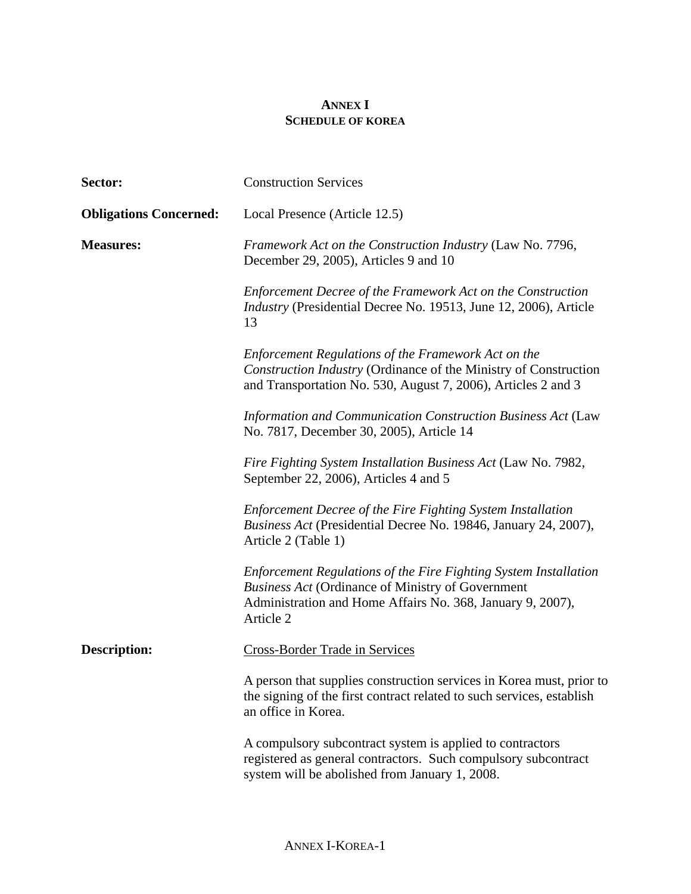## **ANNEX I SCHEDULE OF KOREA**

| Sector:                       | <b>Construction Services</b>                                                                                                                                                                            |
|-------------------------------|---------------------------------------------------------------------------------------------------------------------------------------------------------------------------------------------------------|
| <b>Obligations Concerned:</b> | Local Presence (Article 12.5)                                                                                                                                                                           |
| <b>Measures:</b>              | Framework Act on the Construction Industry (Law No. 7796,<br>December 29, 2005), Articles 9 and 10                                                                                                      |
|                               | Enforcement Decree of the Framework Act on the Construction<br><i>Industry</i> (Presidential Decree No. 19513, June 12, 2006), Article<br>13                                                            |
|                               | Enforcement Regulations of the Framework Act on the<br>Construction Industry (Ordinance of the Ministry of Construction<br>and Transportation No. 530, August 7, 2006), Articles 2 and 3                |
|                               | Information and Communication Construction Business Act (Law<br>No. 7817, December 30, 2005), Article 14                                                                                                |
|                               | Fire Fighting System Installation Business Act (Law No. 7982,<br>September 22, 2006), Articles 4 and 5                                                                                                  |
|                               | Enforcement Decree of the Fire Fighting System Installation<br><i>Business Act</i> (Presidential Decree No. 19846, January 24, 2007),<br>Article 2 (Table 1)                                            |
|                               | Enforcement Regulations of the Fire Fighting System Installation<br><b>Business Act (Ordinance of Ministry of Government</b><br>Administration and Home Affairs No. 368, January 9, 2007),<br>Article 2 |
| <b>Description:</b>           | <b>Cross-Border Trade in Services</b>                                                                                                                                                                   |
|                               | A person that supplies construction services in Korea must, prior to<br>the signing of the first contract related to such services, establish<br>an office in Korea.                                    |
|                               | A compulsory subcontract system is applied to contractors<br>registered as general contractors. Such compulsory subcontract<br>system will be abolished from January 1, 2008.                           |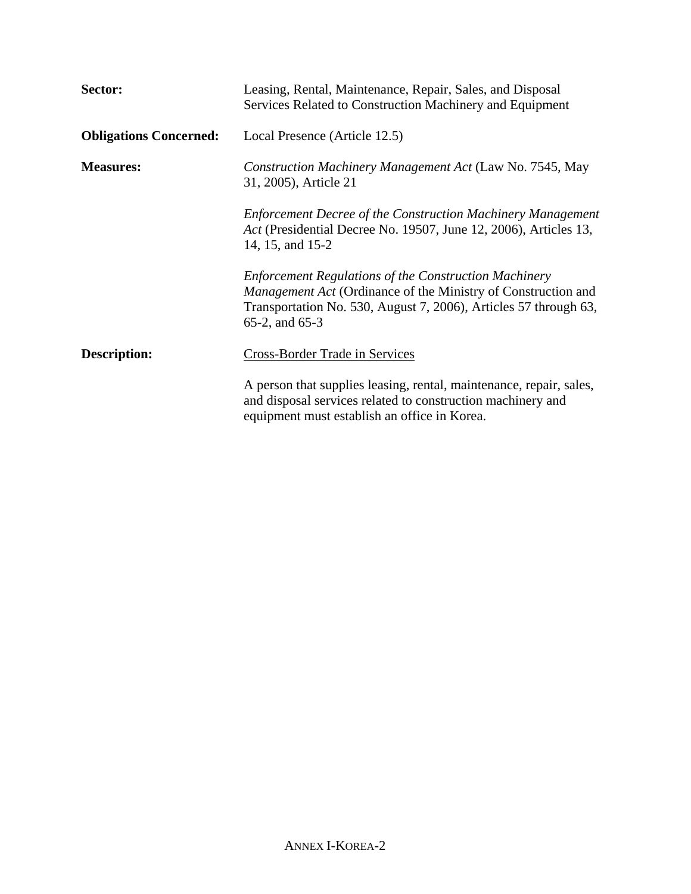| Sector:                       | Leasing, Rental, Maintenance, Repair, Sales, and Disposal<br>Services Related to Construction Machinery and Equipment                                                                                                      |
|-------------------------------|----------------------------------------------------------------------------------------------------------------------------------------------------------------------------------------------------------------------------|
| <b>Obligations Concerned:</b> | Local Presence (Article 12.5)                                                                                                                                                                                              |
| <b>Measures:</b>              | Construction Machinery Management Act (Law No. 7545, May<br>31, 2005), Article 21                                                                                                                                          |
|                               | <b>Enforcement Decree of the Construction Machinery Management</b><br>Act (Presidential Decree No. 19507, June 12, 2006), Articles 13,<br>14, 15, and 15-2                                                                 |
|                               | <b>Enforcement Regulations of the Construction Machinery</b><br><i>Management Act</i> (Ordinance of the Ministry of Construction and<br>Transportation No. 530, August 7, 2006), Articles 57 through 63,<br>65-2, and 65-3 |
| <b>Description:</b>           | <b>Cross-Border Trade in Services</b>                                                                                                                                                                                      |
|                               | A person that supplies leasing, rental, maintenance, repair, sales,<br>and disposal services related to construction machinery and<br>equipment must establish an office in Korea.                                         |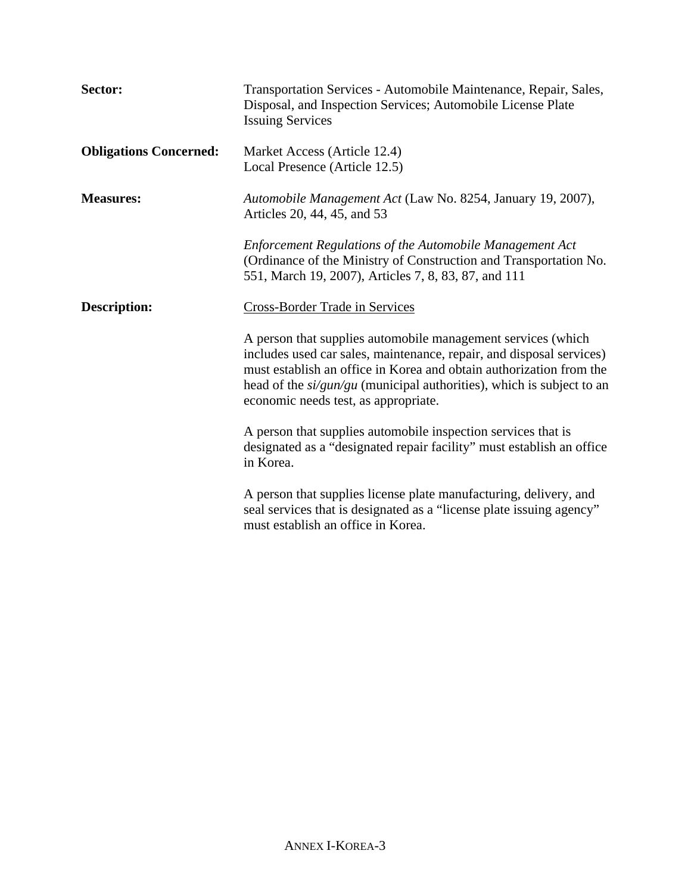| Sector:                       | Transportation Services - Automobile Maintenance, Repair, Sales,<br>Disposal, and Inspection Services; Automobile License Plate<br><b>Issuing Services</b>                                                                                                                                                                     |
|-------------------------------|--------------------------------------------------------------------------------------------------------------------------------------------------------------------------------------------------------------------------------------------------------------------------------------------------------------------------------|
| <b>Obligations Concerned:</b> | Market Access (Article 12.4)<br>Local Presence (Article 12.5)                                                                                                                                                                                                                                                                  |
| <b>Measures:</b>              | Automobile Management Act (Law No. 8254, January 19, 2007),<br>Articles 20, 44, 45, and 53                                                                                                                                                                                                                                     |
|                               | <b>Enforcement Regulations of the Automobile Management Act</b><br>(Ordinance of the Ministry of Construction and Transportation No.<br>551, March 19, 2007), Articles 7, 8, 83, 87, and 111                                                                                                                                   |
| <b>Description:</b>           | <b>Cross-Border Trade in Services</b>                                                                                                                                                                                                                                                                                          |
|                               | A person that supplies automobile management services (which<br>includes used car sales, maintenance, repair, and disposal services)<br>must establish an office in Korea and obtain authorization from the<br>head of the $si/gun/gu$ (municipal authorities), which is subject to an<br>economic needs test, as appropriate. |
|                               | A person that supplies automobile inspection services that is<br>designated as a "designated repair facility" must establish an office<br>in Korea.                                                                                                                                                                            |
|                               | A person that supplies license plate manufacturing, delivery, and<br>seal services that is designated as a "license plate issuing agency"<br>must establish an office in Korea.                                                                                                                                                |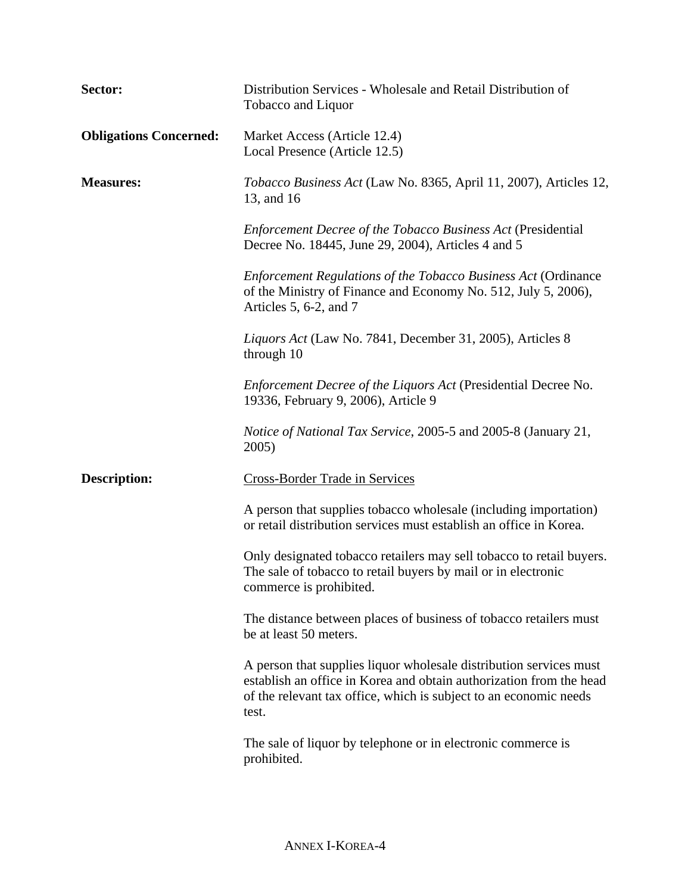| Sector:                       | Distribution Services - Wholesale and Retail Distribution of<br>Tobacco and Liquor                                                                                                                                      |
|-------------------------------|-------------------------------------------------------------------------------------------------------------------------------------------------------------------------------------------------------------------------|
| <b>Obligations Concerned:</b> | Market Access (Article 12.4)<br>Local Presence (Article 12.5)                                                                                                                                                           |
| <b>Measures:</b>              | <i>Tobacco Business Act</i> (Law No. 8365, April 11, 2007), Articles 12,<br>13, and 16                                                                                                                                  |
|                               | <b>Enforcement Decree of the Tobacco Business Act (Presidential</b><br>Decree No. 18445, June 29, 2004), Articles 4 and 5                                                                                               |
|                               | <b>Enforcement Regulations of the Tobacco Business Act (Ordinance</b><br>of the Ministry of Finance and Economy No. 512, July 5, 2006),<br>Articles 5, 6-2, and $7$                                                     |
|                               | Liquors Act (Law No. 7841, December 31, 2005), Articles 8<br>through 10                                                                                                                                                 |
|                               | Enforcement Decree of the Liquors Act (Presidential Decree No.<br>19336, February 9, 2006), Article 9                                                                                                                   |
|                               | <i>Notice of National Tax Service, 2005-5 and 2005-8 (January 21, Notice of National Tax Service, 2005-5 and 2005-8 (January 21, Notice 10</i><br>2005)                                                                 |
| <b>Description:</b>           | <b>Cross-Border Trade in Services</b>                                                                                                                                                                                   |
|                               | A person that supplies tobacco wholesale (including importation)<br>or retail distribution services must establish an office in Korea.                                                                                  |
|                               | Only designated tobacco retailers may sell tobacco to retail buyers.<br>The sale of tobacco to retail buyers by mail or in electronic<br>commerce is prohibited.                                                        |
|                               | The distance between places of business of tobacco retailers must<br>be at least 50 meters.                                                                                                                             |
|                               | A person that supplies liquor wholesale distribution services must<br>establish an office in Korea and obtain authorization from the head<br>of the relevant tax office, which is subject to an economic needs<br>test. |
|                               | The sale of liquor by telephone or in electronic commerce is<br>prohibited.                                                                                                                                             |
|                               |                                                                                                                                                                                                                         |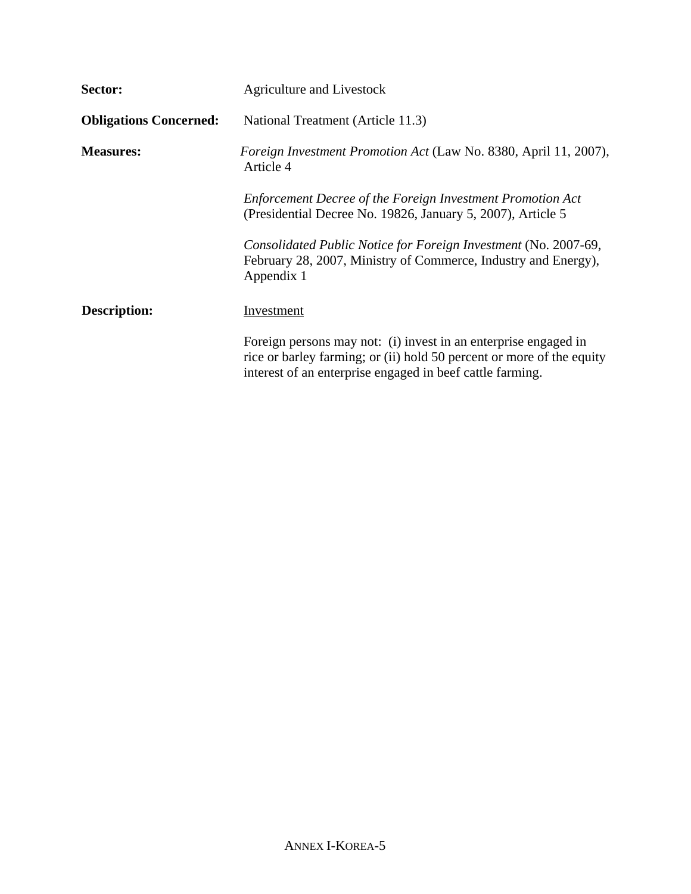| Sector:                       | <b>Agriculture and Livestock</b>                                                                                                                                                                      |
|-------------------------------|-------------------------------------------------------------------------------------------------------------------------------------------------------------------------------------------------------|
| <b>Obligations Concerned:</b> | National Treatment (Article 11.3)                                                                                                                                                                     |
| <b>Measures:</b>              | <i>Foreign Investment Promotion Act</i> (Law No. 8380, April 11, 2007),<br>Article 4                                                                                                                  |
|                               | Enforcement Decree of the Foreign Investment Promotion Act<br>(Presidential Decree No. 19826, January 5, 2007), Article 5                                                                             |
|                               | Consolidated Public Notice for Foreign Investment (No. 2007-69,<br>February 28, 2007, Ministry of Commerce, Industry and Energy),<br>Appendix 1                                                       |
| <b>Description:</b>           | Investment                                                                                                                                                                                            |
|                               | Foreign persons may not: (i) invest in an enterprise engaged in<br>rice or barley farming; or (ii) hold 50 percent or more of the equity<br>interest of an enterprise engaged in beef cattle farming. |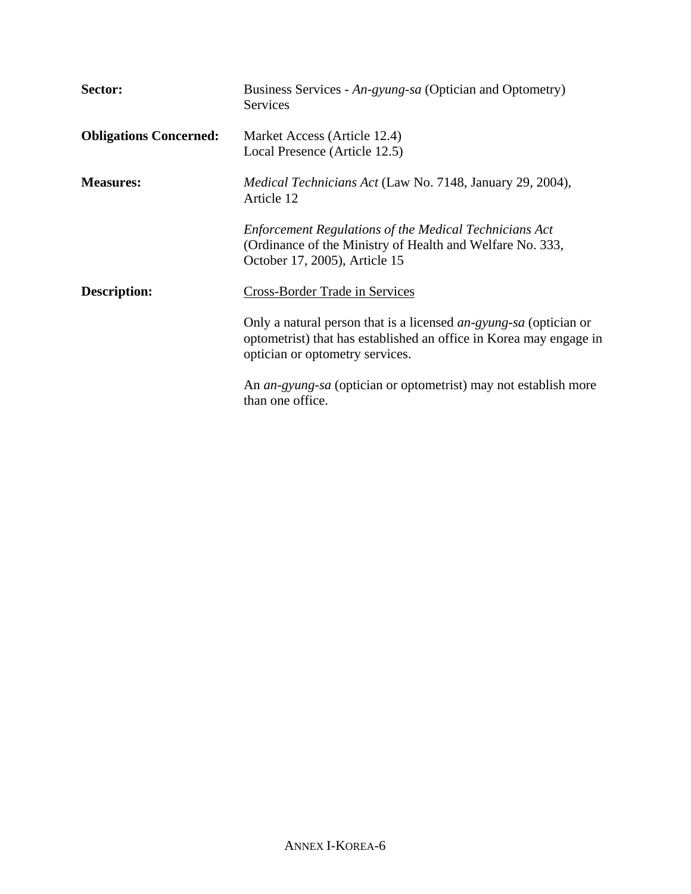| Sector:                       | Business Services - An-gyung-sa (Optician and Optometry)<br><b>Services</b>                                                                                                |
|-------------------------------|----------------------------------------------------------------------------------------------------------------------------------------------------------------------------|
| <b>Obligations Concerned:</b> | Market Access (Article 12.4)<br>Local Presence (Article 12.5)                                                                                                              |
| <b>Measures:</b>              | <i>Medical Technicians Act</i> (Law No. 7148, January 29, 2004),<br>Article 12                                                                                             |
|                               | <b>Enforcement Regulations of the Medical Technicians Act</b><br>(Ordinance of the Ministry of Health and Welfare No. 333,<br>October 17, 2005), Article 15                |
| <b>Description:</b>           | Cross-Border Trade in Services                                                                                                                                             |
|                               | Only a natural person that is a licensed an-gyung-sa (optician or<br>optometrist) that has established an office in Korea may engage in<br>optician or optometry services. |
|                               | An an-gyung-sa (optician or optometrist) may not establish more<br>than one office.                                                                                        |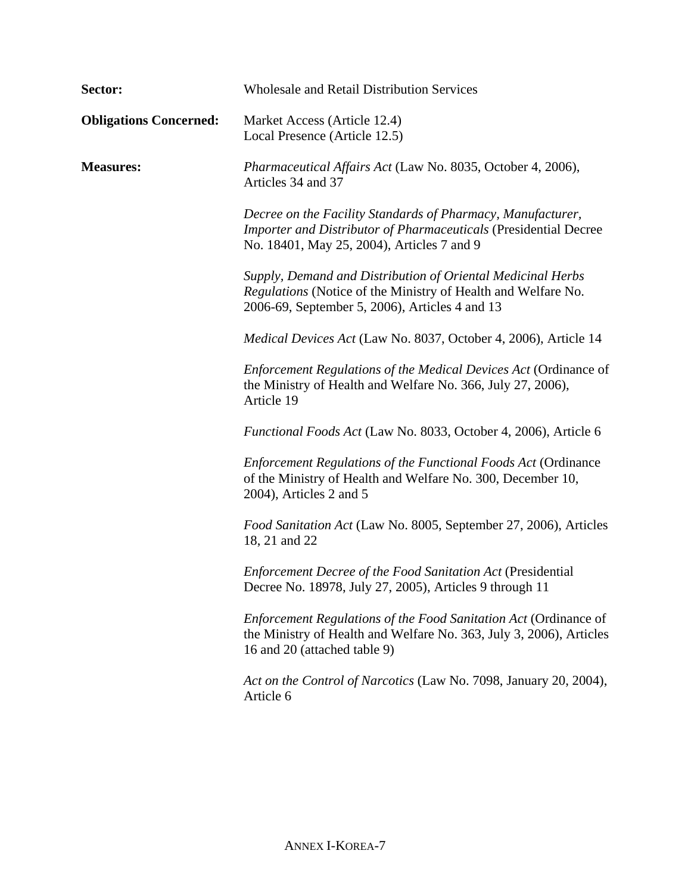| Sector:                       | <b>Wholesale and Retail Distribution Services</b>                                                                                                                                    |
|-------------------------------|--------------------------------------------------------------------------------------------------------------------------------------------------------------------------------------|
| <b>Obligations Concerned:</b> | Market Access (Article 12.4)<br>Local Presence (Article 12.5)                                                                                                                        |
| <b>Measures:</b>              | Pharmaceutical Affairs Act (Law No. 8035, October 4, 2006),<br>Articles 34 and 37                                                                                                    |
|                               | Decree on the Facility Standards of Pharmacy, Manufacturer,<br><b>Importer and Distributor of Pharmaceuticals (Presidential Decree</b><br>No. 18401, May 25, 2004), Articles 7 and 9 |
|                               | Supply, Demand and Distribution of Oriental Medicinal Herbs<br>Regulations (Notice of the Ministry of Health and Welfare No.<br>2006-69, September 5, 2006), Articles 4 and 13       |
|                               | <i>Medical Devices Act</i> (Law No. 8037, October 4, 2006), Article 14                                                                                                               |
|                               | Enforcement Regulations of the Medical Devices Act (Ordinance of<br>the Ministry of Health and Welfare No. 366, July 27, 2006),<br>Article 19                                        |
|                               | <i>Functional Foods Act</i> (Law No. 8033, October 4, 2006), Article 6                                                                                                               |
|                               | <b>Enforcement Regulations of the Functional Foods Act (Ordinance</b><br>of the Ministry of Health and Welfare No. 300, December 10,<br>2004), Articles 2 and 5                      |
|                               | Food Sanitation Act (Law No. 8005, September 27, 2006), Articles<br>18, 21 and 22                                                                                                    |
|                               | <b>Enforcement Decree of the Food Sanitation Act (Presidential</b><br>Decree No. 18978, July 27, 2005), Articles 9 through 11                                                        |
|                               | Enforcement Regulations of the Food Sanitation Act (Ordinance of<br>the Ministry of Health and Welfare No. 363, July 3, 2006), Articles<br>16 and 20 (attached table 9)              |
|                               | Act on the Control of Narcotics (Law No. 7098, January 20, 2004),<br>Article 6                                                                                                       |
|                               |                                                                                                                                                                                      |
|                               |                                                                                                                                                                                      |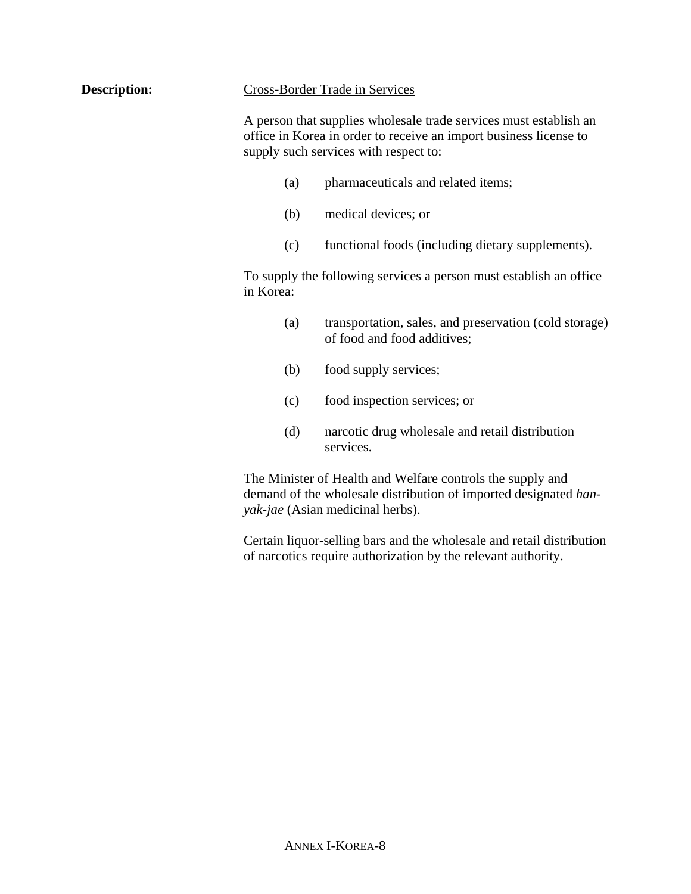|--|

**Description:** 

A person that supplies wholesale trade services must establish an office in Korea in order to receive an import business license to supply such services with respect to:

- (a) pharmaceuticals and related items;
- (b) medical devices; or
- (c) functional foods (including dietary supplements).

To supply the following services a person must establish an office in Korea:

- (a) transportation, sales, and preservation (cold storage) of food and food additives;
- (b) food supply services;
- (c) food inspection services; or
- (d) narcotic drug wholesale and retail distribution services.

The Minister of Health and Welfare controls the supply and demand of the wholesale distribution of imported designated *hanyak-jae* (Asian medicinal herbs).

Certain liquor-selling bars and the wholesale and retail distribution of narcotics require authorization by the relevant authority.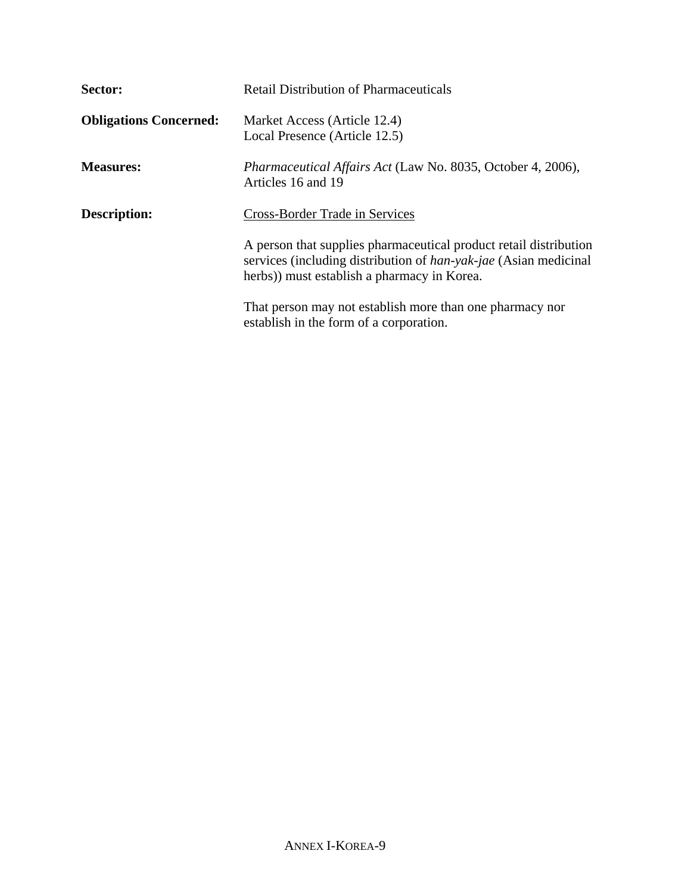| Sector:                       | <b>Retail Distribution of Pharmaceuticals</b>                                                                                                                                               |
|-------------------------------|---------------------------------------------------------------------------------------------------------------------------------------------------------------------------------------------|
| <b>Obligations Concerned:</b> | Market Access (Article 12.4)<br>Local Presence (Article 12.5)                                                                                                                               |
| <b>Measures:</b>              | Pharmaceutical Affairs Act (Law No. 8035, October 4, 2006),<br>Articles 16 and 19                                                                                                           |
| <b>Description:</b>           | Cross-Border Trade in Services                                                                                                                                                              |
|                               | A person that supplies pharmaceutical product retail distribution<br>services (including distribution of <i>han-yak-jae</i> (Asian medicinal<br>herbs)) must establish a pharmacy in Korea. |
|                               | That person may not establish more than one pharmacy nor<br>establish in the form of a corporation.                                                                                         |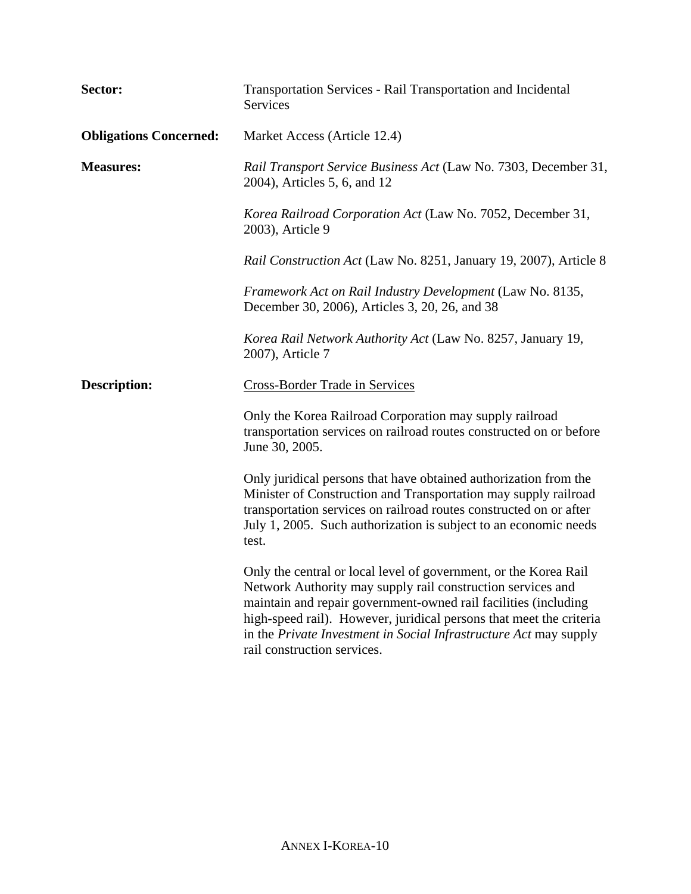| Sector:                       | Transportation Services - Rail Transportation and Incidental<br>Services                                                                                                                                                                                                                                                                                                      |
|-------------------------------|-------------------------------------------------------------------------------------------------------------------------------------------------------------------------------------------------------------------------------------------------------------------------------------------------------------------------------------------------------------------------------|
| <b>Obligations Concerned:</b> | Market Access (Article 12.4)                                                                                                                                                                                                                                                                                                                                                  |
| <b>Measures:</b>              | Rail Transport Service Business Act (Law No. 7303, December 31,<br>2004), Articles 5, 6, and 12                                                                                                                                                                                                                                                                               |
|                               | Korea Railroad Corporation Act (Law No. 7052, December 31,<br>2003), Article 9                                                                                                                                                                                                                                                                                                |
|                               | Rail Construction Act (Law No. 8251, January 19, 2007), Article 8                                                                                                                                                                                                                                                                                                             |
|                               | Framework Act on Rail Industry Development (Law No. 8135,<br>December 30, 2006), Articles 3, 20, 26, and 38                                                                                                                                                                                                                                                                   |
|                               | Korea Rail Network Authority Act (Law No. 8257, January 19,<br>2007), Article 7                                                                                                                                                                                                                                                                                               |
| <b>Description:</b>           | <b>Cross-Border Trade in Services</b>                                                                                                                                                                                                                                                                                                                                         |
|                               | Only the Korea Railroad Corporation may supply railroad<br>transportation services on railroad routes constructed on or before<br>June 30, 2005.                                                                                                                                                                                                                              |
|                               | Only juridical persons that have obtained authorization from the<br>Minister of Construction and Transportation may supply railroad<br>transportation services on railroad routes constructed on or after<br>July 1, 2005. Such authorization is subject to an economic needs<br>test.                                                                                        |
|                               | Only the central or local level of government, or the Korea Rail<br>Network Authority may supply rail construction services and<br>maintain and repair government-owned rail facilities (including<br>high-speed rail). However, juridical persons that meet the criteria<br>in the Private Investment in Social Infrastructure Act may supply<br>rail construction services. |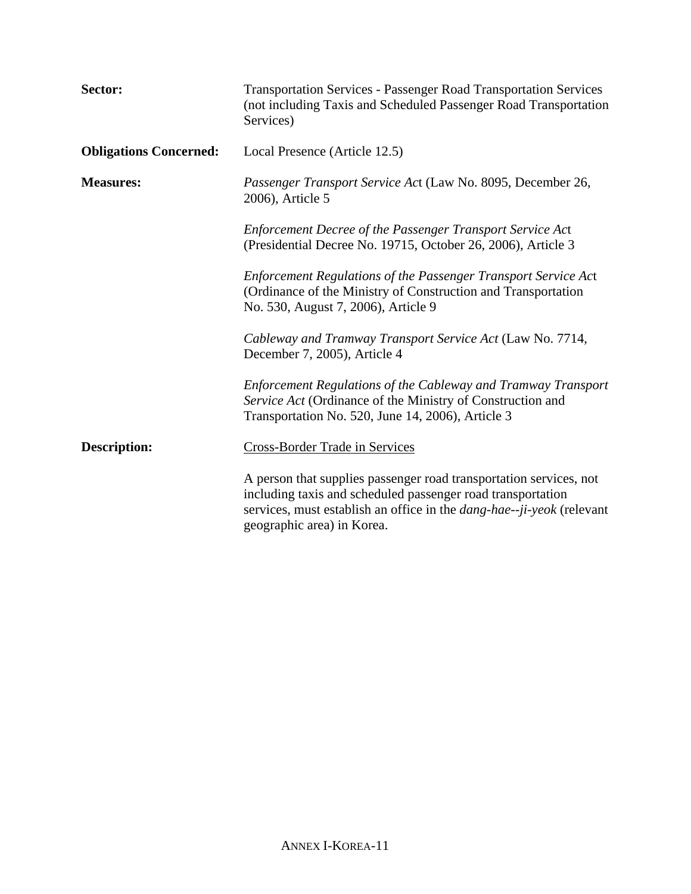| Sector:                       | <b>Transportation Services - Passenger Road Transportation Services</b><br>(not including Taxis and Scheduled Passenger Road Transportation<br>Services)                                                                                        |
|-------------------------------|-------------------------------------------------------------------------------------------------------------------------------------------------------------------------------------------------------------------------------------------------|
| <b>Obligations Concerned:</b> | Local Presence (Article 12.5)                                                                                                                                                                                                                   |
| <b>Measures:</b>              | Passenger Transport Service Act (Law No. 8095, December 26,<br>2006), Article 5                                                                                                                                                                 |
|                               | Enforcement Decree of the Passenger Transport Service Act<br>(Presidential Decree No. 19715, October 26, 2006), Article 3                                                                                                                       |
|                               | Enforcement Regulations of the Passenger Transport Service Act<br>(Ordinance of the Ministry of Construction and Transportation<br>No. 530, August 7, 2006), Article 9                                                                          |
|                               | Cableway and Tramway Transport Service Act (Law No. 7714,<br>December 7, 2005), Article 4                                                                                                                                                       |
|                               | Enforcement Regulations of the Cableway and Tramway Transport<br>Service Act (Ordinance of the Ministry of Construction and<br>Transportation No. 520, June 14, 2006), Article 3                                                                |
| <b>Description:</b>           | <b>Cross-Border Trade in Services</b>                                                                                                                                                                                                           |
|                               | A person that supplies passenger road transportation services, not<br>including taxis and scheduled passenger road transportation<br>services, must establish an office in the <i>dang-hae--ji-yeok</i> (relevant<br>geographic area) in Korea. |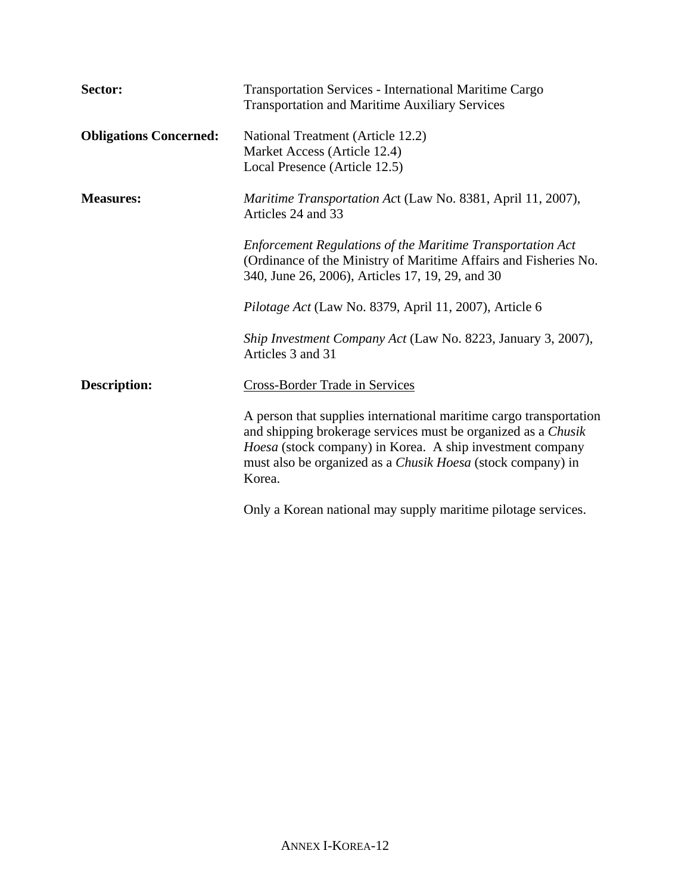| Sector:                       | <b>Transportation Services - International Maritime Cargo</b><br><b>Transportation and Maritime Auxiliary Services</b>                                                                                                                                                           |
|-------------------------------|----------------------------------------------------------------------------------------------------------------------------------------------------------------------------------------------------------------------------------------------------------------------------------|
| <b>Obligations Concerned:</b> | National Treatment (Article 12.2)<br>Market Access (Article 12.4)<br>Local Presence (Article 12.5)                                                                                                                                                                               |
| <b>Measures:</b>              | Maritime Transportation Act (Law No. 8381, April 11, 2007),<br>Articles 24 and 33                                                                                                                                                                                                |
|                               | <b>Enforcement Regulations of the Maritime Transportation Act</b><br>(Ordinance of the Ministry of Maritime Affairs and Fisheries No.<br>340, June 26, 2006), Articles 17, 19, 29, and 30                                                                                        |
|                               | Pilotage Act (Law No. 8379, April 11, 2007), Article 6                                                                                                                                                                                                                           |
|                               | Ship Investment Company Act (Law No. 8223, January 3, 2007),<br>Articles 3 and 31                                                                                                                                                                                                |
| <b>Description:</b>           | <b>Cross-Border Trade in Services</b>                                                                                                                                                                                                                                            |
|                               | A person that supplies international maritime cargo transportation<br>and shipping brokerage services must be organized as a Chusik<br>Hoesa (stock company) in Korea. A ship investment company<br>must also be organized as a <i>Chusik Hoesa</i> (stock company) in<br>Korea. |
|                               | Only a Korean national may supply maritime pilotage services.                                                                                                                                                                                                                    |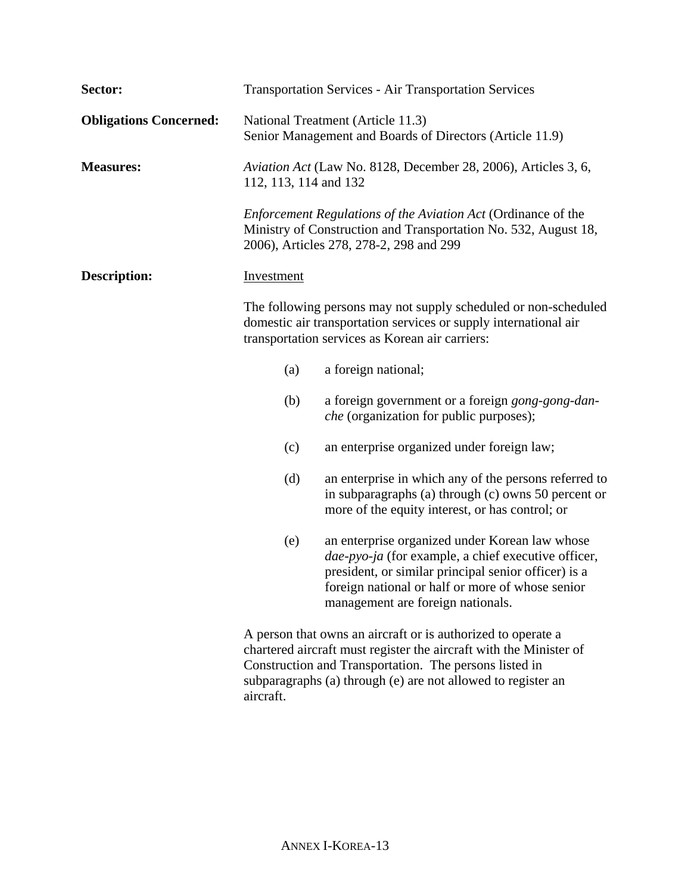| Sector:                       |                                                                                                                                                                                        | <b>Transportation Services - Air Transportation Services</b>                                                                                                                                                                                                 |
|-------------------------------|----------------------------------------------------------------------------------------------------------------------------------------------------------------------------------------|--------------------------------------------------------------------------------------------------------------------------------------------------------------------------------------------------------------------------------------------------------------|
| <b>Obligations Concerned:</b> |                                                                                                                                                                                        | National Treatment (Article 11.3)<br>Senior Management and Boards of Directors (Article 11.9)                                                                                                                                                                |
| <b>Measures:</b>              | 112, 113, 114 and 132                                                                                                                                                                  | Aviation Act (Law No. 8128, December 28, 2006), Articles 3, 6,                                                                                                                                                                                               |
|                               |                                                                                                                                                                                        | Enforcement Regulations of the Aviation Act (Ordinance of the<br>Ministry of Construction and Transportation No. 532, August 18,<br>2006), Articles 278, 278-2, 298 and 299                                                                                  |
| <b>Description:</b>           | <b>Investment</b>                                                                                                                                                                      |                                                                                                                                                                                                                                                              |
|                               | The following persons may not supply scheduled or non-scheduled<br>domestic air transportation services or supply international air<br>transportation services as Korean air carriers: |                                                                                                                                                                                                                                                              |
|                               | (a)                                                                                                                                                                                    | a foreign national;                                                                                                                                                                                                                                          |
|                               | (b)                                                                                                                                                                                    | a foreign government or a foreign gong-gong-dan-<br><i>che</i> (organization for public purposes);                                                                                                                                                           |
|                               | (c)                                                                                                                                                                                    | an enterprise organized under foreign law;                                                                                                                                                                                                                   |
|                               | (d)                                                                                                                                                                                    | an enterprise in which any of the persons referred to<br>in subparagraphs (a) through (c) owns 50 percent or<br>more of the equity interest, or has control; or                                                                                              |
|                               | (e)                                                                                                                                                                                    | an enterprise organized under Korean law whose<br>dae-pyo-ja (for example, a chief executive officer,<br>president, or similar principal senior officer) is a<br>foreign national or half or more of whose senior<br>management are foreign nationals.       |
|                               |                                                                                                                                                                                        | A person that owns an aircraft or is authorized to operate a<br>chartered aircraft must register the aircraft with the Minister of<br>Construction and Transportation. The persons listed in<br>subparagraphs (a) through (e) are not allowed to register an |

aircraft.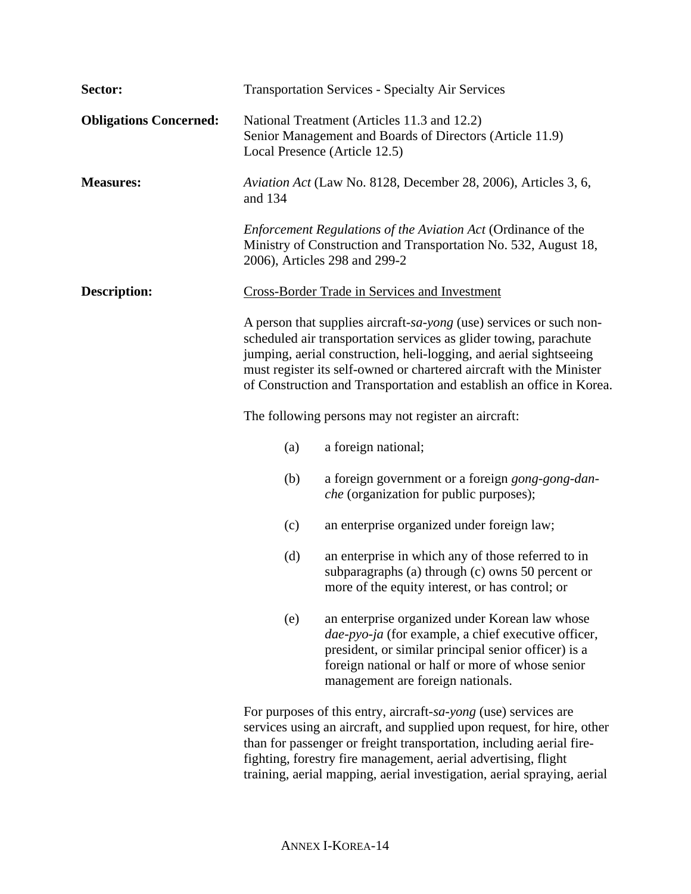| Sector:                       |         | <b>Transportation Services - Specialty Air Services</b>                                                                                                                                                                                                                                                                                                        |
|-------------------------------|---------|----------------------------------------------------------------------------------------------------------------------------------------------------------------------------------------------------------------------------------------------------------------------------------------------------------------------------------------------------------------|
| <b>Obligations Concerned:</b> |         | National Treatment (Articles 11.3 and 12.2)<br>Senior Management and Boards of Directors (Article 11.9)<br>Local Presence (Article 12.5)                                                                                                                                                                                                                       |
| <b>Measures:</b>              | and 134 | Aviation Act (Law No. 8128, December 28, 2006), Articles 3, 6,                                                                                                                                                                                                                                                                                                 |
|                               |         | Enforcement Regulations of the Aviation Act (Ordinance of the<br>Ministry of Construction and Transportation No. 532, August 18,<br>2006), Articles 298 and 299-2                                                                                                                                                                                              |
| <b>Description:</b>           |         | <b>Cross-Border Trade in Services and Investment</b>                                                                                                                                                                                                                                                                                                           |
|                               |         | A person that supplies aircraft-sa-yong (use) services or such non-<br>scheduled air transportation services as glider towing, parachute<br>jumping, aerial construction, heli-logging, and aerial sightseeing<br>must register its self-owned or chartered aircraft with the Minister<br>of Construction and Transportation and establish an office in Korea. |
|                               |         | The following persons may not register an aircraft:                                                                                                                                                                                                                                                                                                            |
|                               | (a)     | a foreign national;                                                                                                                                                                                                                                                                                                                                            |
|                               | (b)     | a foreign government or a foreign gong-gong-dan-<br><i>che</i> (organization for public purposes);                                                                                                                                                                                                                                                             |
|                               | (c)     | an enterprise organized under foreign law;                                                                                                                                                                                                                                                                                                                     |
|                               | (d)     | an enterprise in which any of those referred to in<br>subparagraphs (a) through (c) owns 50 percent or<br>more of the equity interest, or has control; or                                                                                                                                                                                                      |
|                               | (e)     | an enterprise organized under Korean law whose<br><i>dae-pyo-ja</i> (for example, a chief executive officer,<br>president, or similar principal senior officer) is a<br>foreign national or half or more of whose senior<br>management are foreign nationals.                                                                                                  |
|                               |         | For purposes of this entry, aircraft-sa-yong (use) services are<br>services using an aircraft, and supplied upon request, for hire, other<br>than for passenger or freight transportation, including aerial fire-<br>fighting, forestry fire management, aerial advertising, flight                                                                            |

training, aerial mapping, aerial investigation, aerial spraying, aerial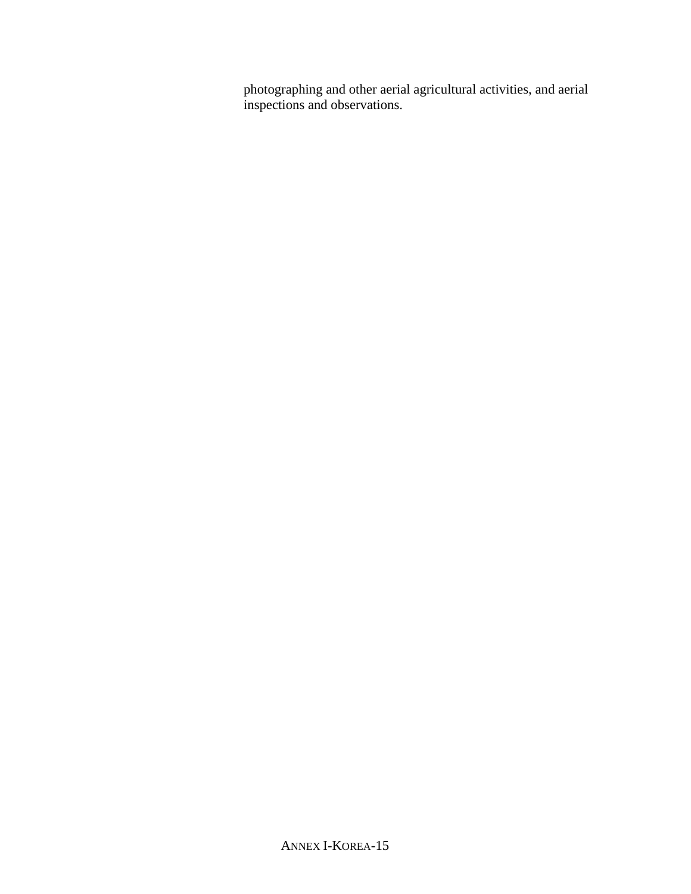photographing and other aerial agricultural activities, and aerial inspections and observations.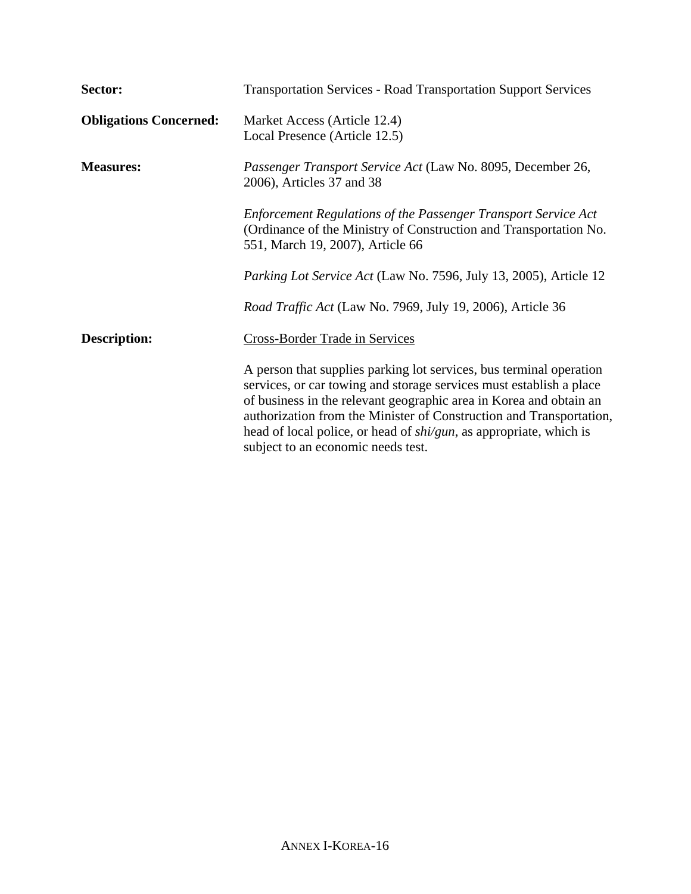| Sector:                       | <b>Transportation Services - Road Transportation Support Services</b>                                                                                                                                                                                                                                                                                                                                       |
|-------------------------------|-------------------------------------------------------------------------------------------------------------------------------------------------------------------------------------------------------------------------------------------------------------------------------------------------------------------------------------------------------------------------------------------------------------|
| <b>Obligations Concerned:</b> | Market Access (Article 12.4)<br>Local Presence (Article 12.5)                                                                                                                                                                                                                                                                                                                                               |
| <b>Measures:</b>              | Passenger Transport Service Act (Law No. 8095, December 26,<br>2006), Articles 37 and 38                                                                                                                                                                                                                                                                                                                    |
|                               | <b>Enforcement Regulations of the Passenger Transport Service Act</b><br>(Ordinance of the Ministry of Construction and Transportation No.<br>551, March 19, 2007), Article 66                                                                                                                                                                                                                              |
|                               | Parking Lot Service Act (Law No. 7596, July 13, 2005), Article 12                                                                                                                                                                                                                                                                                                                                           |
|                               | Road Traffic Act (Law No. 7969, July 19, 2006), Article 36                                                                                                                                                                                                                                                                                                                                                  |
| <b>Description:</b>           | <b>Cross-Border Trade in Services</b>                                                                                                                                                                                                                                                                                                                                                                       |
|                               | A person that supplies parking lot services, bus terminal operation<br>services, or car towing and storage services must establish a place<br>of business in the relevant geographic area in Korea and obtain an<br>authorization from the Minister of Construction and Transportation,<br>head of local police, or head of <i>shi/gun</i> , as appropriate, which is<br>subject to an economic needs test. |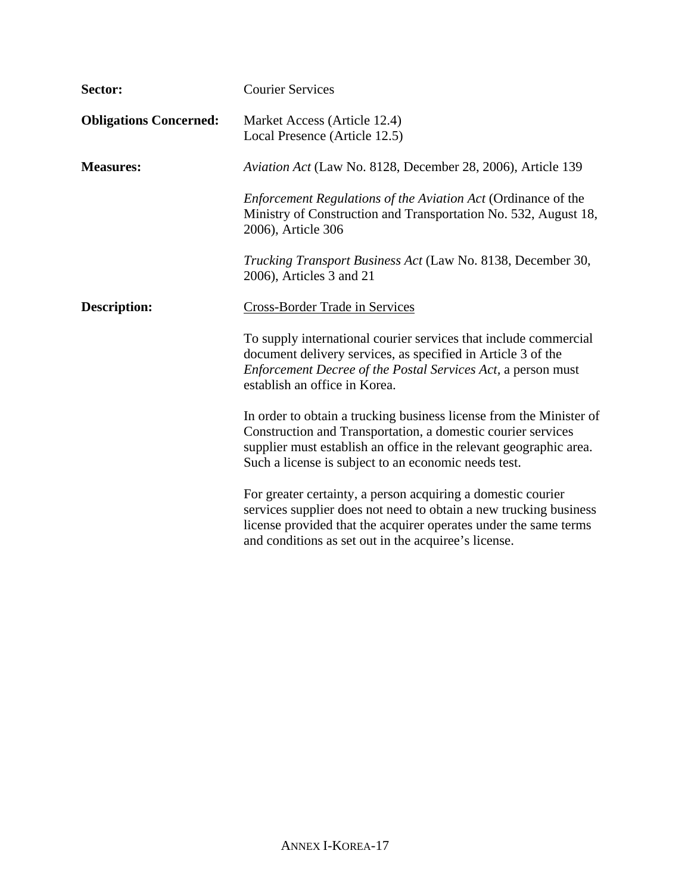| Sector:                       | <b>Courier Services</b>                                                                                                                                                                                                                                           |
|-------------------------------|-------------------------------------------------------------------------------------------------------------------------------------------------------------------------------------------------------------------------------------------------------------------|
| <b>Obligations Concerned:</b> | Market Access (Article 12.4)<br>Local Presence (Article 12.5)                                                                                                                                                                                                     |
| <b>Measures:</b>              | Aviation Act (Law No. 8128, December 28, 2006), Article 139                                                                                                                                                                                                       |
|                               | Enforcement Regulations of the Aviation Act (Ordinance of the<br>Ministry of Construction and Transportation No. 532, August 18,<br>2006), Article 306                                                                                                            |
|                               | Trucking Transport Business Act (Law No. 8138, December 30,<br>2006), Articles 3 and 21                                                                                                                                                                           |
| <b>Description:</b>           | <b>Cross-Border Trade in Services</b>                                                                                                                                                                                                                             |
|                               | To supply international courier services that include commercial<br>document delivery services, as specified in Article 3 of the<br>Enforcement Decree of the Postal Services Act, a person must<br>establish an office in Korea.                                 |
|                               | In order to obtain a trucking business license from the Minister of<br>Construction and Transportation, a domestic courier services<br>supplier must establish an office in the relevant geographic area.<br>Such a license is subject to an economic needs test. |
|                               | For greater certainty, a person acquiring a domestic courier<br>services supplier does not need to obtain a new trucking business<br>license provided that the acquirer operates under the same terms<br>and conditions as set out in the acquiree's license.     |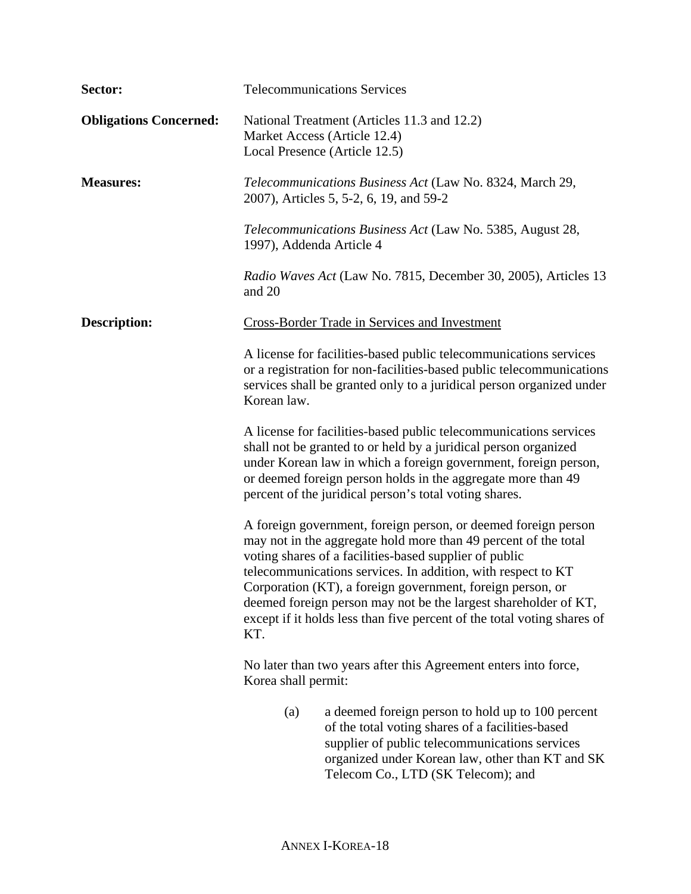| Sector:                       | <b>Telecommunications Services</b>                                                                                                                                                                                                                                                                                                                                                                                                                                             |  |
|-------------------------------|--------------------------------------------------------------------------------------------------------------------------------------------------------------------------------------------------------------------------------------------------------------------------------------------------------------------------------------------------------------------------------------------------------------------------------------------------------------------------------|--|
| <b>Obligations Concerned:</b> | National Treatment (Articles 11.3 and 12.2)<br>Market Access (Article 12.4)<br>Local Presence (Article 12.5)                                                                                                                                                                                                                                                                                                                                                                   |  |
| <b>Measures:</b>              | Telecommunications Business Act (Law No. 8324, March 29,<br>2007), Articles 5, 5-2, 6, 19, and 59-2                                                                                                                                                                                                                                                                                                                                                                            |  |
|                               | <i>Telecommunications Business Act</i> (Law No. 5385, August 28,<br>1997), Addenda Article 4                                                                                                                                                                                                                                                                                                                                                                                   |  |
|                               | Radio Waves Act (Law No. 7815, December 30, 2005), Articles 13<br>and 20                                                                                                                                                                                                                                                                                                                                                                                                       |  |
| <b>Description:</b>           | Cross-Border Trade in Services and Investment                                                                                                                                                                                                                                                                                                                                                                                                                                  |  |
|                               | A license for facilities-based public telecommunications services<br>or a registration for non-facilities-based public telecommunications<br>services shall be granted only to a juridical person organized under<br>Korean law.                                                                                                                                                                                                                                               |  |
|                               | A license for facilities-based public telecommunications services<br>shall not be granted to or held by a juridical person organized<br>under Korean law in which a foreign government, foreign person,<br>or deemed foreign person holds in the aggregate more than 49<br>percent of the juridical person's total voting shares.                                                                                                                                              |  |
|                               | A foreign government, foreign person, or deemed foreign person<br>may not in the aggregate hold more than 49 percent of the total<br>voting shares of a facilities-based supplier of public<br>telecommunications services. In addition, with respect to KT<br>Corporation (KT), a foreign government, foreign person, or<br>deemed foreign person may not be the largest shareholder of KT,<br>except if it holds less than five percent of the total voting shares of<br>KT. |  |
|                               | No later than two years after this Agreement enters into force,<br>Korea shall permit:                                                                                                                                                                                                                                                                                                                                                                                         |  |
|                               | (a)<br>a deemed foreign person to hold up to 100 percent<br>of the total voting shares of a facilities-based<br>supplier of public telecommunications services<br>organized under Korean law, other than KT and SK<br>Telecom Co., LTD (SK Telecom); and                                                                                                                                                                                                                       |  |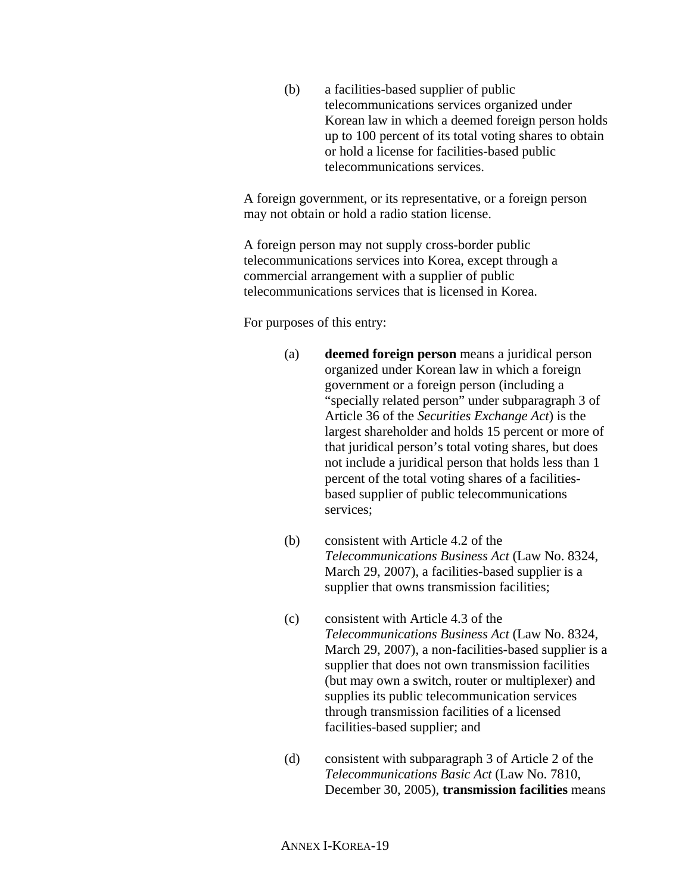(b) a facilities-based supplier of public telecommunications services organized under Korean law in which a deemed foreign person holds up to 100 percent of its total voting shares to obtain or hold a license for facilities-based public telecommunications services.

A foreign government, or its representative, or a foreign person may not obtain or hold a radio station license.

A foreign person may not supply cross-border public telecommunications services into Korea, except through a commercial arrangement with a supplier of public telecommunications services that is licensed in Korea.

For purposes of this entry:

- (a) **deemed foreign person** means a juridical person organized under Korean law in which a foreign government or a foreign person (including a "specially related person" under subparagraph 3 of Article 36 of the *Securities Exchange Act*) is the largest shareholder and holds 15 percent or more of that juridical person's total voting shares, but does not include a juridical person that holds less than 1 percent of the total voting shares of a facilitiesbased supplier of public telecommunications services;
- (b) consistent with Article 4.2 of the *Telecommunications Business Act* (Law No. 8324, March 29, 2007), a facilities-based supplier is a supplier that owns transmission facilities;
- (c) consistent with Article 4.3 of the *Telecommunications Business Act* (Law No. 8324, March 29, 2007), a non-facilities-based supplier is a supplier that does not own transmission facilities (but may own a switch, router or multiplexer) and supplies its public telecommunication services through transmission facilities of a licensed facilities-based supplier; and
- (d) consistent with subparagraph 3 of Article 2 of the *Telecommunications Basic Act* (Law No. 7810, December 30, 2005), **transmission facilities** means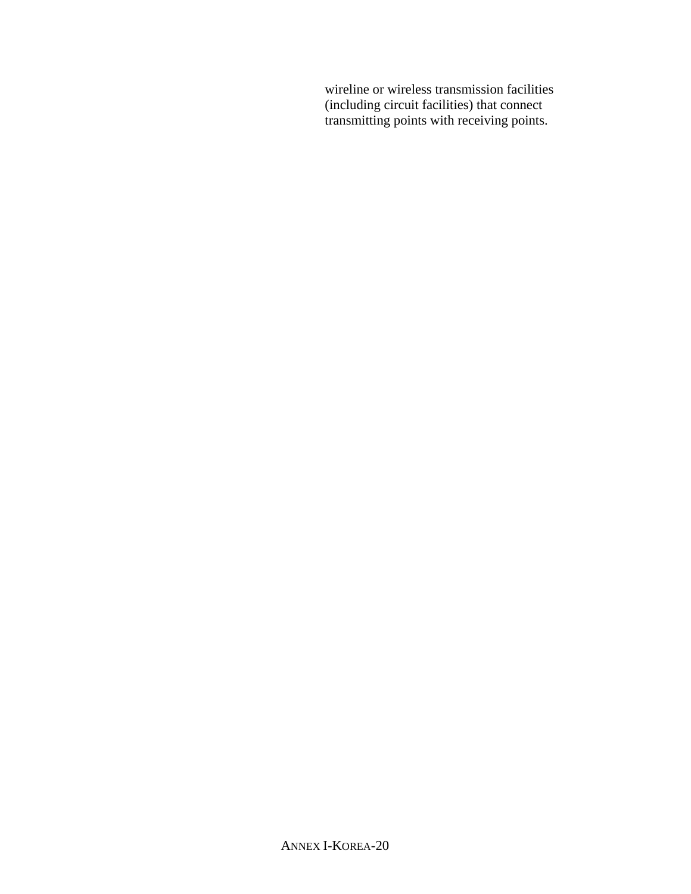wireline or wireless transmission facilities (including circuit facilities) that connect transmitting points with receiving points.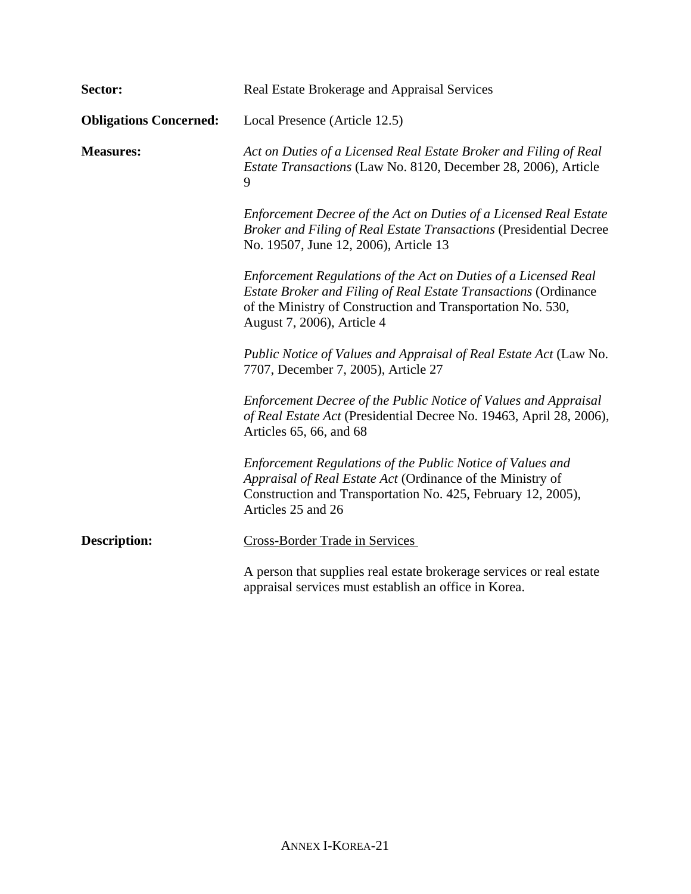| Sector:                       | Real Estate Brokerage and Appraisal Services                                                                                                                                                                                           |
|-------------------------------|----------------------------------------------------------------------------------------------------------------------------------------------------------------------------------------------------------------------------------------|
| <b>Obligations Concerned:</b> | Local Presence (Article 12.5)                                                                                                                                                                                                          |
| <b>Measures:</b>              | Act on Duties of a Licensed Real Estate Broker and Filing of Real<br><i>Estate Transactions</i> (Law No. 8120, December 28, 2006), Article<br>9                                                                                        |
|                               | Enforcement Decree of the Act on Duties of a Licensed Real Estate<br>Broker and Filing of Real Estate Transactions (Presidential Decree<br>No. 19507, June 12, 2006), Article 13                                                       |
|                               | Enforcement Regulations of the Act on Duties of a Licensed Real<br><b>Estate Broker and Filing of Real Estate Transactions (Ordinance</b><br>of the Ministry of Construction and Transportation No. 530,<br>August 7, 2006), Article 4 |
|                               | Public Notice of Values and Appraisal of Real Estate Act (Law No.<br>7707, December 7, 2005), Article 27                                                                                                                               |
|                               | Enforcement Decree of the Public Notice of Values and Appraisal<br>of Real Estate Act (Presidential Decree No. 19463, April 28, 2006),<br>Articles 65, 66, and 68                                                                      |
|                               | Enforcement Regulations of the Public Notice of Values and<br>Appraisal of Real Estate Act (Ordinance of the Ministry of<br>Construction and Transportation No. 425, February 12, 2005),<br>Articles 25 and 26                         |
| <b>Description:</b>           | <b>Cross-Border Trade in Services</b>                                                                                                                                                                                                  |
|                               | A person that supplies real estate brokerage services or real estate<br>appraisal services must establish an office in Korea.                                                                                                          |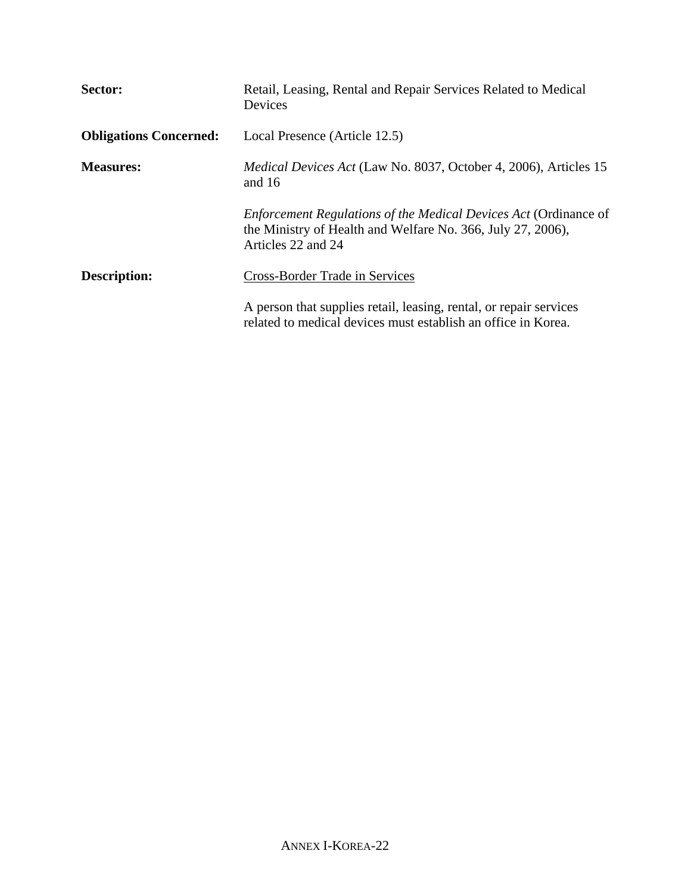| Sector:                       | Retail, Leasing, Rental and Repair Services Related to Medical<br>Devices                                                                                    |
|-------------------------------|--------------------------------------------------------------------------------------------------------------------------------------------------------------|
| <b>Obligations Concerned:</b> | Local Presence (Article 12.5)                                                                                                                                |
| <b>Measures:</b>              | <i>Medical Devices Act</i> (Law No. 8037, October 4, 2006), Articles 15<br>and 16                                                                            |
|                               | <i>Enforcement Regulations of the Medical Devices Act (Ordinance of</i><br>the Ministry of Health and Welfare No. 366, July 27, 2006),<br>Articles 22 and 24 |
| <b>Description:</b>           | <b>Cross-Border Trade in Services</b>                                                                                                                        |
|                               | A person that supplies retail, leasing, rental, or repair services<br>related to medical devices must establish an office in Korea.                          |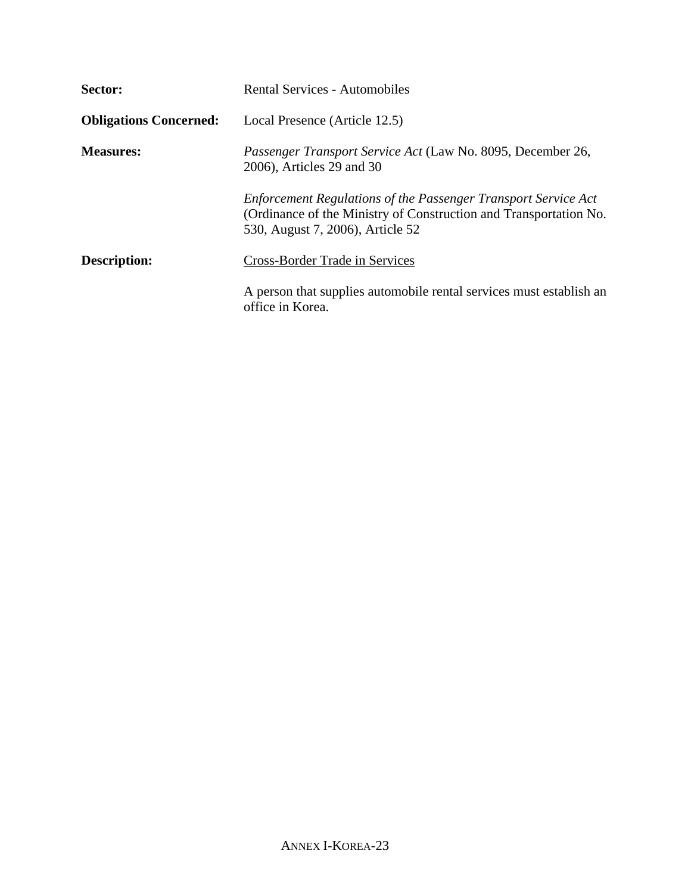| Sector:                       | <b>Rental Services - Automobiles</b>                                                                                                                                           |
|-------------------------------|--------------------------------------------------------------------------------------------------------------------------------------------------------------------------------|
| <b>Obligations Concerned:</b> | Local Presence (Article 12.5)                                                                                                                                                  |
| <b>Measures:</b>              | Passenger Transport Service Act (Law No. 8095, December 26,<br>2006), Articles 29 and 30                                                                                       |
|                               | <b>Enforcement Regulations of the Passenger Transport Service Act</b><br>(Ordinance of the Ministry of Construction and Transportation No.<br>530, August 7, 2006), Article 52 |
| Description:                  | Cross-Border Trade in Services                                                                                                                                                 |
|                               | A person that supplies automobile rental services must establish an<br>office in Korea.                                                                                        |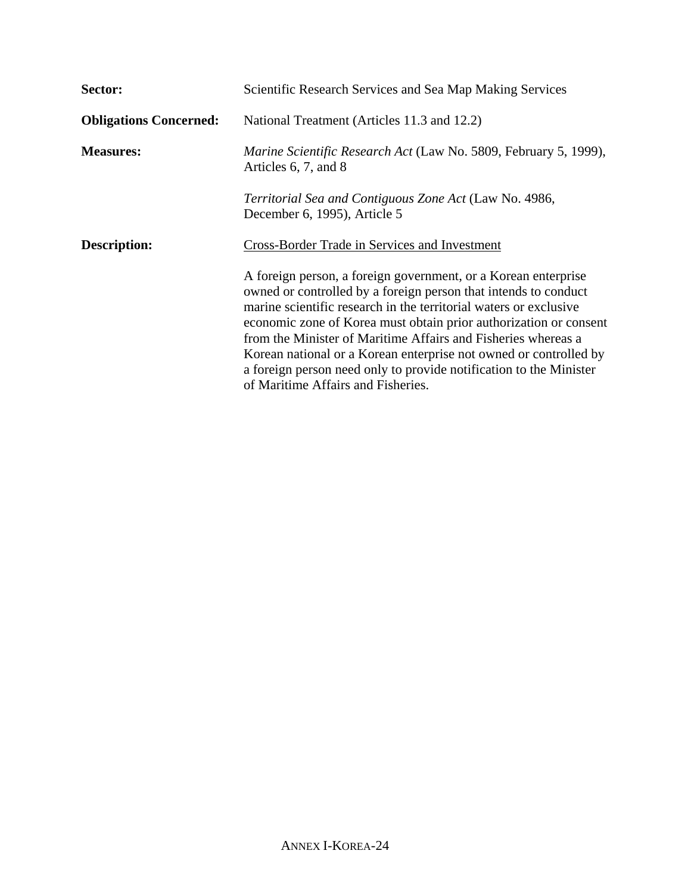| Sector:                       | Scientific Research Services and Sea Map Making Services                                                                                                                                                                                                                                                                                                                                                                                                                                                                      |
|-------------------------------|-------------------------------------------------------------------------------------------------------------------------------------------------------------------------------------------------------------------------------------------------------------------------------------------------------------------------------------------------------------------------------------------------------------------------------------------------------------------------------------------------------------------------------|
| <b>Obligations Concerned:</b> | National Treatment (Articles 11.3 and 12.2)                                                                                                                                                                                                                                                                                                                                                                                                                                                                                   |
| <b>Measures:</b>              | <i>Marine Scientific Research Act</i> (Law No. 5809, February 5, 1999),<br>Articles 6, 7, and 8                                                                                                                                                                                                                                                                                                                                                                                                                               |
|                               | Territorial Sea and Contiguous Zone Act (Law No. 4986,<br>December 6, 1995), Article 5                                                                                                                                                                                                                                                                                                                                                                                                                                        |
| <b>Description:</b>           | Cross-Border Trade in Services and Investment                                                                                                                                                                                                                                                                                                                                                                                                                                                                                 |
|                               | A foreign person, a foreign government, or a Korean enterprise<br>owned or controlled by a foreign person that intends to conduct<br>marine scientific research in the territorial waters or exclusive<br>economic zone of Korea must obtain prior authorization or consent<br>from the Minister of Maritime Affairs and Fisheries whereas a<br>Korean national or a Korean enterprise not owned or controlled by<br>a foreign person need only to provide notification to the Minister<br>of Maritime Affairs and Fisheries. |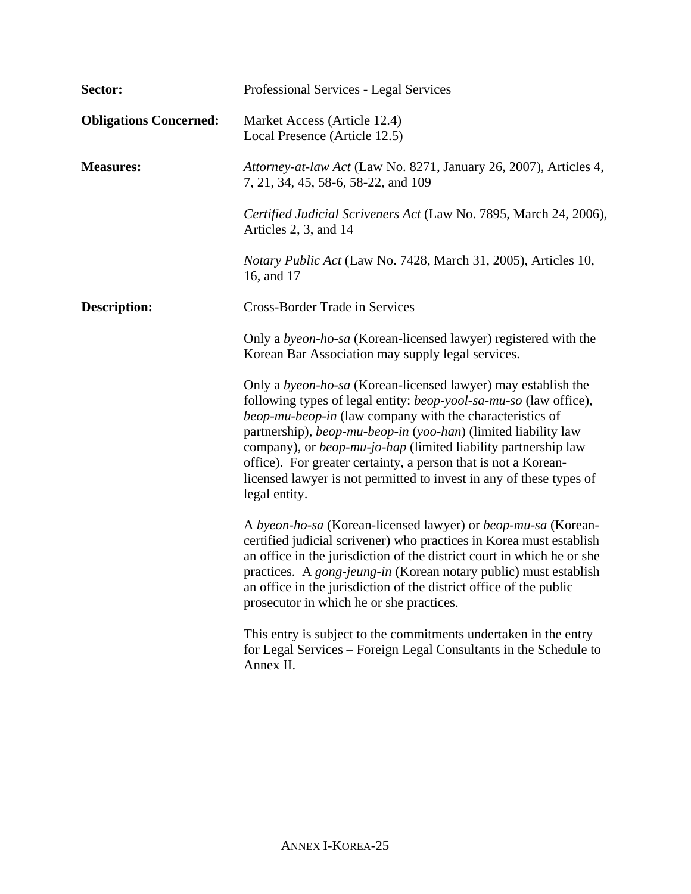| Sector:                       | Professional Services - Legal Services                                                                                                                                                                                                                                                                                                                                                                                                                                                                            |
|-------------------------------|-------------------------------------------------------------------------------------------------------------------------------------------------------------------------------------------------------------------------------------------------------------------------------------------------------------------------------------------------------------------------------------------------------------------------------------------------------------------------------------------------------------------|
| <b>Obligations Concerned:</b> | Market Access (Article 12.4)<br>Local Presence (Article 12.5)                                                                                                                                                                                                                                                                                                                                                                                                                                                     |
| <b>Measures:</b>              | Attorney-at-law Act (Law No. 8271, January 26, 2007), Articles 4,<br>7, 21, 34, 45, 58-6, 58-22, and 109                                                                                                                                                                                                                                                                                                                                                                                                          |
|                               | Certified Judicial Scriveners Act (Law No. 7895, March 24, 2006),<br>Articles 2, 3, and 14                                                                                                                                                                                                                                                                                                                                                                                                                        |
|                               | <i>Notary Public Act</i> (Law No. 7428, March 31, 2005), Articles 10,<br>16, and 17                                                                                                                                                                                                                                                                                                                                                                                                                               |
| <b>Description:</b>           | <b>Cross-Border Trade in Services</b>                                                                                                                                                                                                                                                                                                                                                                                                                                                                             |
|                               | Only a <i>byeon-ho-sa</i> (Korean-licensed lawyer) registered with the<br>Korean Bar Association may supply legal services.                                                                                                                                                                                                                                                                                                                                                                                       |
|                               | Only a <i>byeon-ho-sa</i> (Korean-licensed lawyer) may establish the<br>following types of legal entity: <i>beop-yool-sa-mu-so</i> (law office),<br>beop-mu-beop-in (law company with the characteristics of<br>partnership), beop-mu-beop-in (yoo-han) (limited liability law<br>company), or <i>beop-mu-jo-hap</i> (limited liability partnership law<br>office). For greater certainty, a person that is not a Korean-<br>licensed lawyer is not permitted to invest in any of these types of<br>legal entity. |
|                               | A byeon-ho-sa (Korean-licensed lawyer) or beop-mu-sa (Korean-<br>certified judicial scrivener) who practices in Korea must establish<br>an office in the jurisdiction of the district court in which he or she<br>practices. A <i>gong-jeung-in</i> (Korean notary public) must establish<br>an office in the jurisdiction of the district office of the public<br>prosecutor in which he or she practices.                                                                                                       |
|                               | This entry is subject to the commitments undertaken in the entry<br>for Legal Services – Foreign Legal Consultants in the Schedule to<br>Annex II.                                                                                                                                                                                                                                                                                                                                                                |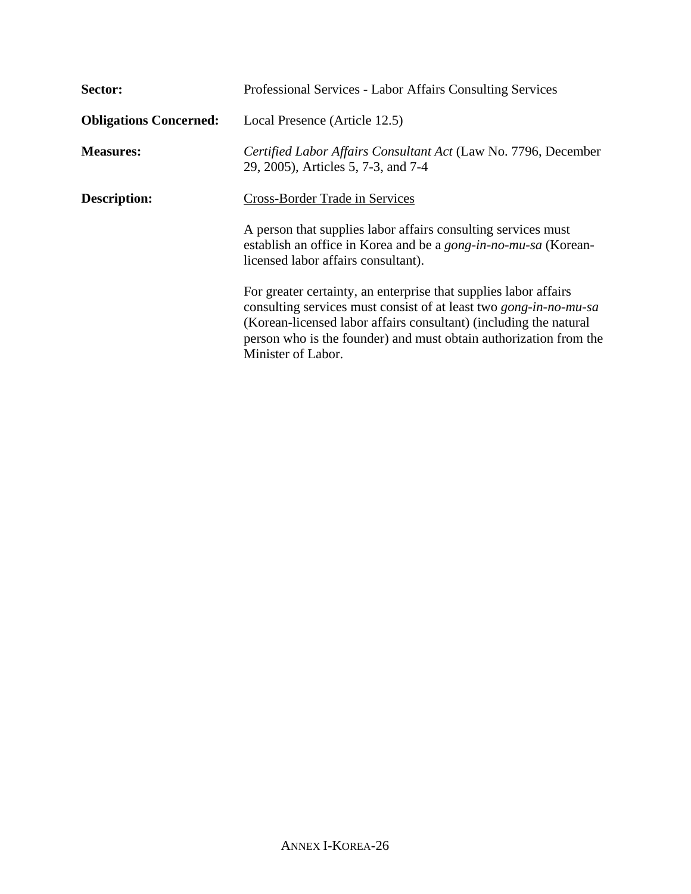| Sector:                       | Professional Services - Labor Affairs Consulting Services                                                                                                                                                                                                                                                    |
|-------------------------------|--------------------------------------------------------------------------------------------------------------------------------------------------------------------------------------------------------------------------------------------------------------------------------------------------------------|
| <b>Obligations Concerned:</b> | Local Presence (Article 12.5)                                                                                                                                                                                                                                                                                |
| <b>Measures:</b>              | Certified Labor Affairs Consultant Act (Law No. 7796, December<br>29, 2005), Articles 5, 7-3, and 7-4                                                                                                                                                                                                        |
| <b>Description:</b>           | Cross-Border Trade in Services                                                                                                                                                                                                                                                                               |
|                               | A person that supplies labor affairs consulting services must<br>establish an office in Korea and be a <i>gong-in-no-mu-sa</i> (Korean-<br>licensed labor affairs consultant).                                                                                                                               |
|                               | For greater certainty, an enterprise that supplies labor affairs<br>consulting services must consist of at least two <i>gong-in-no-mu-sa</i><br>(Korean-licensed labor affairs consultant) (including the natural<br>person who is the founder) and must obtain authorization from the<br>Minister of Labor. |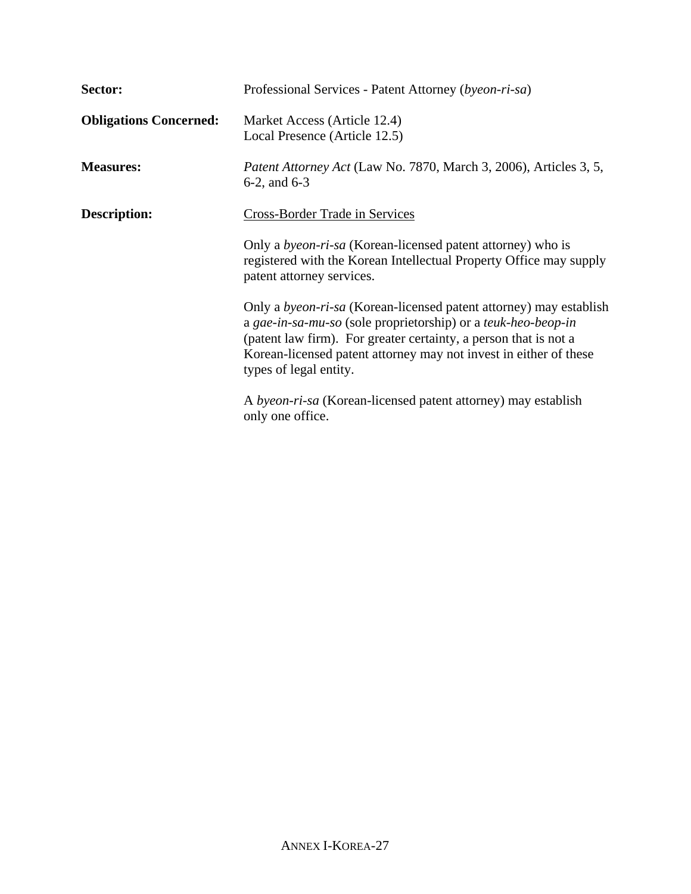| Sector:                       | Professional Services - Patent Attorney (byeon-ri-sa)                                                                                                                                                                                                                                                         |
|-------------------------------|---------------------------------------------------------------------------------------------------------------------------------------------------------------------------------------------------------------------------------------------------------------------------------------------------------------|
| <b>Obligations Concerned:</b> | Market Access (Article 12.4)<br>Local Presence (Article 12.5)                                                                                                                                                                                                                                                 |
| <b>Measures:</b>              | <i>Patent Attorney Act</i> (Law No. 7870, March 3, 2006), Articles 3, 5,<br>$6-2$ , and $6-3$                                                                                                                                                                                                                 |
| <b>Description:</b>           | <b>Cross-Border Trade in Services</b>                                                                                                                                                                                                                                                                         |
|                               | Only a <i>byeon-ri-sa</i> (Korean-licensed patent attorney) who is<br>registered with the Korean Intellectual Property Office may supply<br>patent attorney services.                                                                                                                                         |
|                               | Only a <i>byeon-ri-sa</i> (Korean-licensed patent attorney) may establish<br>a gae-in-sa-mu-so (sole proprietorship) or a teuk-heo-beop-in<br>(patent law firm). For greater certainty, a person that is not a<br>Korean-licensed patent attorney may not invest in either of these<br>types of legal entity. |
|                               | A byeon-ri-sa (Korean-licensed patent attorney) may establish<br>only one office.                                                                                                                                                                                                                             |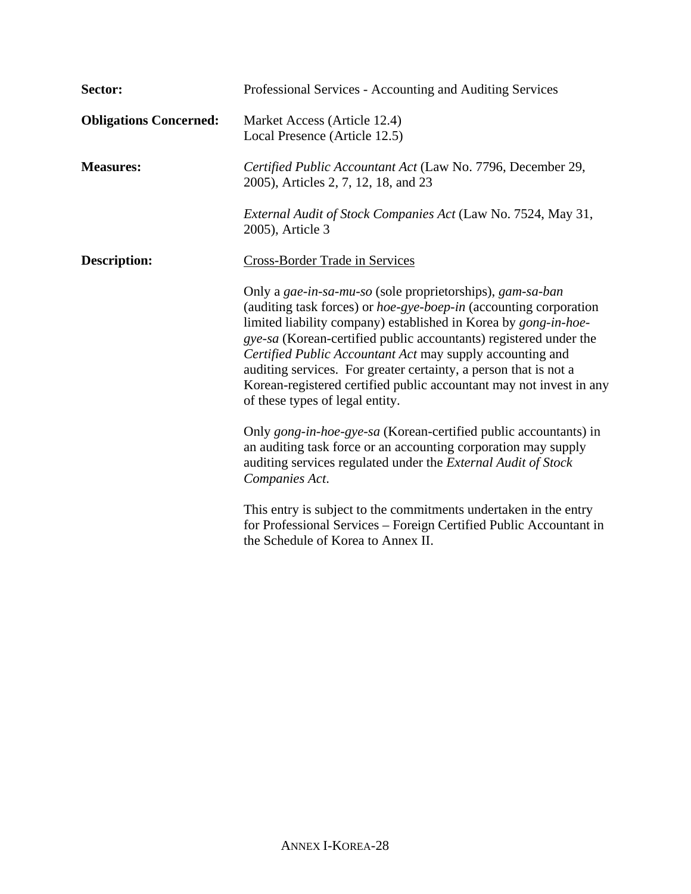| Sector:                       | Professional Services - Accounting and Auditing Services                                                                                                                                                                                                                                                                                                                                                                                                                                                          |  |
|-------------------------------|-------------------------------------------------------------------------------------------------------------------------------------------------------------------------------------------------------------------------------------------------------------------------------------------------------------------------------------------------------------------------------------------------------------------------------------------------------------------------------------------------------------------|--|
| <b>Obligations Concerned:</b> | Market Access (Article 12.4)<br>Local Presence (Article 12.5)                                                                                                                                                                                                                                                                                                                                                                                                                                                     |  |
| <b>Measures:</b>              | Certified Public Accountant Act (Law No. 7796, December 29,<br>2005), Articles 2, 7, 12, 18, and 23                                                                                                                                                                                                                                                                                                                                                                                                               |  |
|                               | External Audit of Stock Companies Act (Law No. 7524, May 31,<br>2005), Article 3                                                                                                                                                                                                                                                                                                                                                                                                                                  |  |
| <b>Description:</b>           | Cross-Border Trade in Services                                                                                                                                                                                                                                                                                                                                                                                                                                                                                    |  |
|                               | Only a gae-in-sa-mu-so (sole proprietorships), gam-sa-ban<br>(auditing task forces) or hoe-gye-boep-in (accounting corporation<br>limited liability company) established in Korea by gong-in-hoe-<br>gye-sa (Korean-certified public accountants) registered under the<br>Certified Public Accountant Act may supply accounting and<br>auditing services. For greater certainty, a person that is not a<br>Korean-registered certified public accountant may not invest in any<br>of these types of legal entity. |  |
|                               | Only gong-in-hoe-gye-sa (Korean-certified public accountants) in<br>an auditing task force or an accounting corporation may supply<br>auditing services regulated under the External Audit of Stock<br>Companies Act.                                                                                                                                                                                                                                                                                             |  |
|                               | This entry is subject to the commitments undertaken in the entry<br>for Professional Services - Foreign Certified Public Accountant in<br>the Schedule of Korea to Annex II.                                                                                                                                                                                                                                                                                                                                      |  |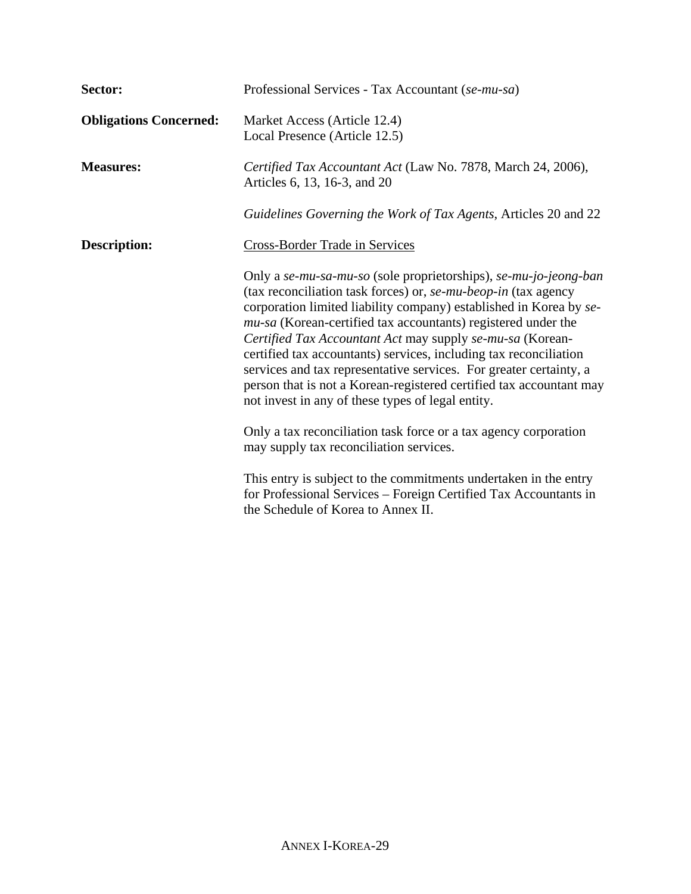| Sector:                       | Professional Services - Tax Accountant (se-mu-sa)                                                                                                                                                                                                                                                                                                                                                                                                                                                                                                                                                             |  |
|-------------------------------|---------------------------------------------------------------------------------------------------------------------------------------------------------------------------------------------------------------------------------------------------------------------------------------------------------------------------------------------------------------------------------------------------------------------------------------------------------------------------------------------------------------------------------------------------------------------------------------------------------------|--|
| <b>Obligations Concerned:</b> | Market Access (Article 12.4)<br>Local Presence (Article 12.5)                                                                                                                                                                                                                                                                                                                                                                                                                                                                                                                                                 |  |
| <b>Measures:</b>              | Certified Tax Accountant Act (Law No. 7878, March 24, 2006),<br>Articles 6, 13, 16-3, and 20                                                                                                                                                                                                                                                                                                                                                                                                                                                                                                                  |  |
|                               | Guidelines Governing the Work of Tax Agents, Articles 20 and 22                                                                                                                                                                                                                                                                                                                                                                                                                                                                                                                                               |  |
| <b>Description:</b>           | <b>Cross-Border Trade in Services</b>                                                                                                                                                                                                                                                                                                                                                                                                                                                                                                                                                                         |  |
|                               | Only a se-mu-sa-mu-so (sole proprietorships), se-mu-jo-jeong-ban<br>(tax reconciliation task forces) or, se-mu-beop-in (tax agency<br>corporation limited liability company) established in Korea by se-<br>mu-sa (Korean-certified tax accountants) registered under the<br>Certified Tax Accountant Act may supply se-mu-sa (Korean-<br>certified tax accountants) services, including tax reconciliation<br>services and tax representative services. For greater certainty, a<br>person that is not a Korean-registered certified tax accountant may<br>not invest in any of these types of legal entity. |  |
|                               | Only a tax reconciliation task force or a tax agency corporation<br>may supply tax reconciliation services.                                                                                                                                                                                                                                                                                                                                                                                                                                                                                                   |  |
|                               | This entry is subject to the commitments undertaken in the entry<br>for Professional Services – Foreign Certified Tax Accountants in<br>the Schedule of Korea to Annex II.                                                                                                                                                                                                                                                                                                                                                                                                                                    |  |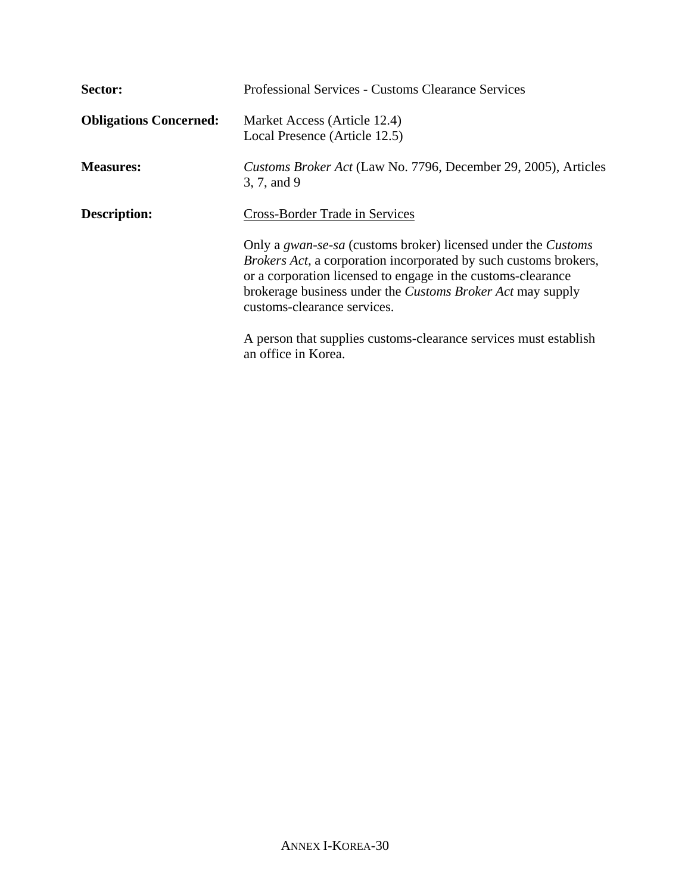| Sector:                       | <b>Professional Services - Customs Clearance Services</b>                                                                                                                                                                                                                                                                  |
|-------------------------------|----------------------------------------------------------------------------------------------------------------------------------------------------------------------------------------------------------------------------------------------------------------------------------------------------------------------------|
| <b>Obligations Concerned:</b> | Market Access (Article 12.4)<br>Local Presence (Article 12.5)                                                                                                                                                                                                                                                              |
| <b>Measures:</b>              | Customs Broker Act (Law No. 7796, December 29, 2005), Articles<br>3, 7, and 9                                                                                                                                                                                                                                              |
| <b>Description:</b>           | <b>Cross-Border Trade in Services</b>                                                                                                                                                                                                                                                                                      |
|                               | Only a <i>gwan-se-sa</i> (customs broker) licensed under the <i>Customs</i><br><i>Brokers Act, a corporation incorporated by such customs brokers,</i><br>or a corporation licensed to engage in the customs-clearance<br>brokerage business under the <i>Customs Broker Act</i> may supply<br>customs-clearance services. |
|                               | A person that supplies customs-clearance services must establish<br>an office in Korea.                                                                                                                                                                                                                                    |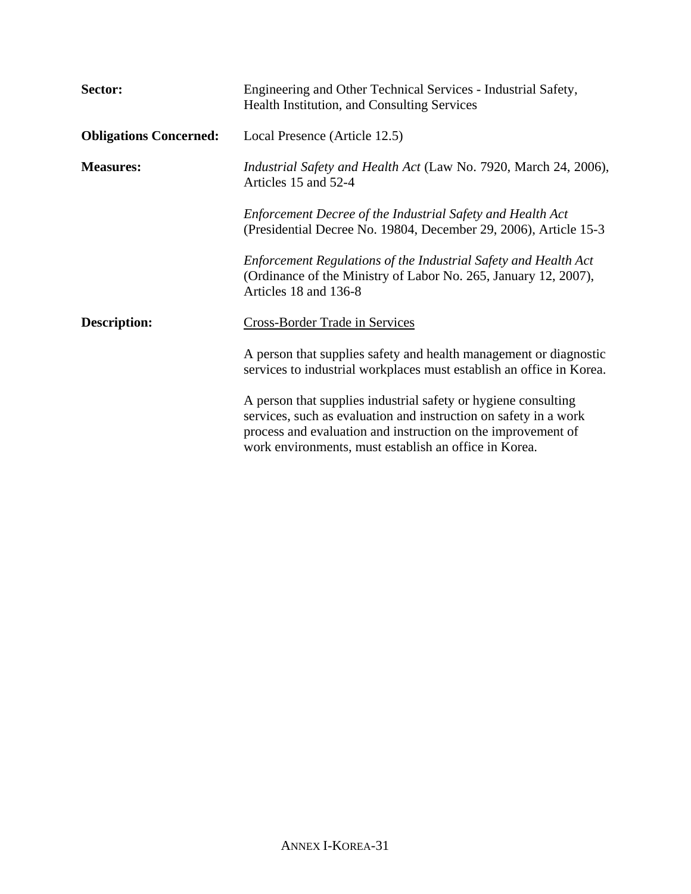| Sector:                       | Engineering and Other Technical Services - Industrial Safety,<br>Health Institution, and Consulting Services                                                                                                                                                |  |
|-------------------------------|-------------------------------------------------------------------------------------------------------------------------------------------------------------------------------------------------------------------------------------------------------------|--|
| <b>Obligations Concerned:</b> | Local Presence (Article 12.5)                                                                                                                                                                                                                               |  |
| <b>Measures:</b>              | <i>Industrial Safety and Health Act</i> (Law No. 7920, March 24, 2006),<br>Articles 15 and 52-4                                                                                                                                                             |  |
|                               | Enforcement Decree of the Industrial Safety and Health Act<br>(Presidential Decree No. 19804, December 29, 2006), Article 15-3                                                                                                                              |  |
|                               | Enforcement Regulations of the Industrial Safety and Health Act<br>(Ordinance of the Ministry of Labor No. 265, January 12, 2007),<br>Articles 18 and 136-8                                                                                                 |  |
| <b>Description:</b>           | <b>Cross-Border Trade in Services</b>                                                                                                                                                                                                                       |  |
|                               | A person that supplies safety and health management or diagnostic<br>services to industrial workplaces must establish an office in Korea.                                                                                                                   |  |
|                               | A person that supplies industrial safety or hygiene consulting<br>services, such as evaluation and instruction on safety in a work<br>process and evaluation and instruction on the improvement of<br>work environments, must establish an office in Korea. |  |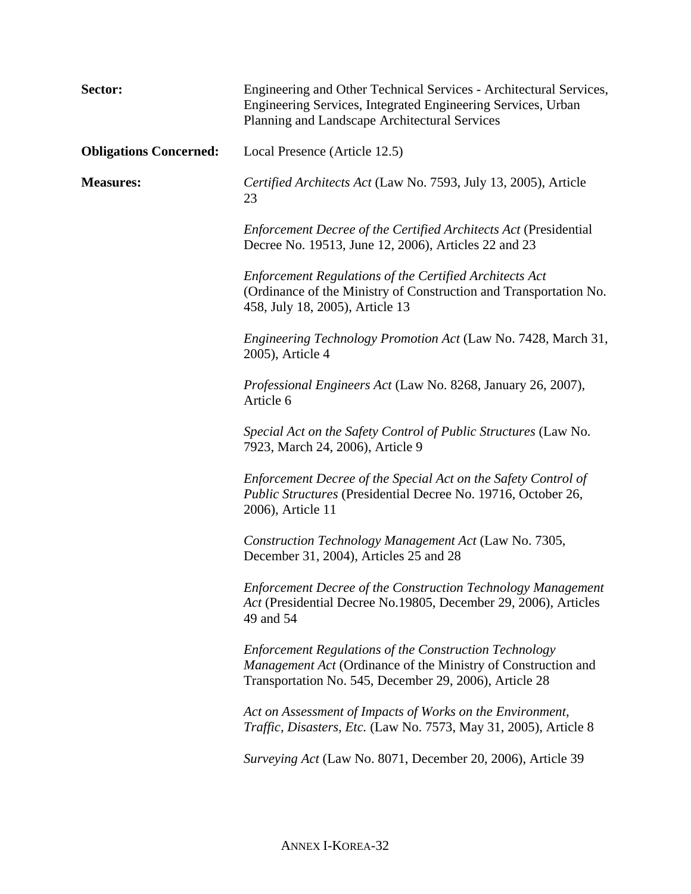| Sector:                       | Engineering and Other Technical Services - Architectural Services,<br>Engineering Services, Integrated Engineering Services, Urban<br>Planning and Landscape Architectural Services             |
|-------------------------------|-------------------------------------------------------------------------------------------------------------------------------------------------------------------------------------------------|
| <b>Obligations Concerned:</b> | Local Presence (Article 12.5)                                                                                                                                                                   |
| <b>Measures:</b>              | Certified Architects Act (Law No. 7593, July 13, 2005), Article<br>23                                                                                                                           |
|                               | <b>Enforcement Decree of the Certified Architects Act (Presidential</b><br>Decree No. 19513, June 12, 2006), Articles 22 and 23                                                                 |
|                               | <b>Enforcement Regulations of the Certified Architects Act</b><br>(Ordinance of the Ministry of Construction and Transportation No.<br>458, July 18, 2005), Article 13                          |
|                               | <i>Engineering Technology Promotion Act</i> (Law No. 7428, March 31,<br>2005), Article 4                                                                                                        |
|                               | Professional Engineers Act (Law No. 8268, January 26, 2007),<br>Article 6                                                                                                                       |
|                               | Special Act on the Safety Control of Public Structures (Law No.<br>7923, March 24, 2006), Article 9                                                                                             |
|                               | Enforcement Decree of the Special Act on the Safety Control of<br>Public Structures (Presidential Decree No. 19716, October 26,<br>2006), Article 11                                            |
|                               | Construction Technology Management Act (Law No. 7305,<br>December 31, 2004), Articles 25 and 28                                                                                                 |
|                               | <b>Enforcement Decree of the Construction Technology Management</b><br>Act (Presidential Decree No.19805, December 29, 2006), Articles<br>49 and 54                                             |
|                               | <b>Enforcement Regulations of the Construction Technology</b><br><i>Management Act</i> (Ordinance of the Ministry of Construction and<br>Transportation No. 545, December 29, 2006), Article 28 |
|                               | Act on Assessment of Impacts of Works on the Environment,<br>Traffic, Disasters, Etc. (Law No. 7573, May 31, 2005), Article 8                                                                   |
|                               | Surveying Act (Law No. 8071, December 20, 2006), Article 39                                                                                                                                     |
|                               |                                                                                                                                                                                                 |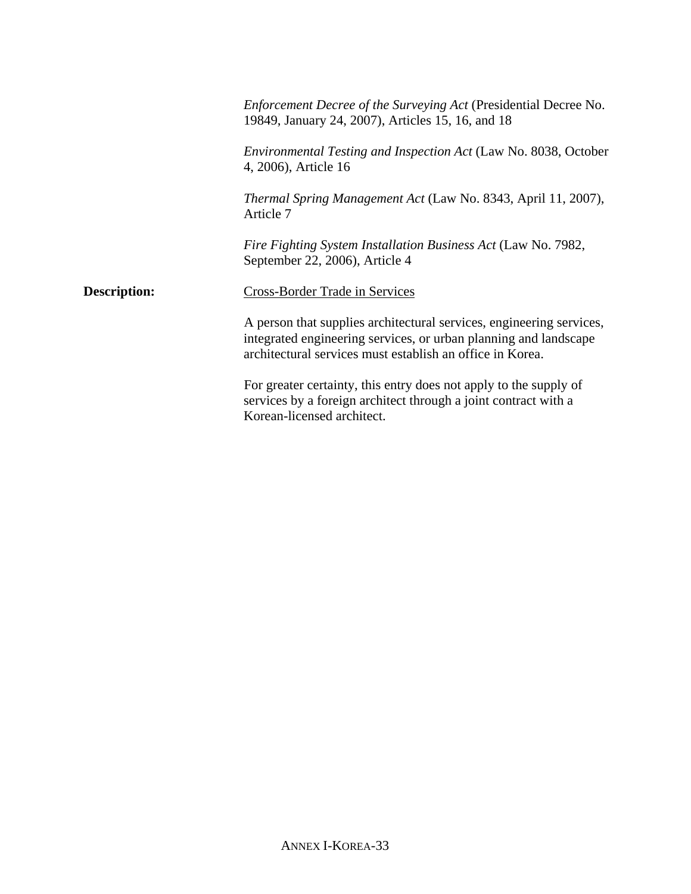*Enforcement Decree of the Surveying Act* (Presidential Decree No. 19849, January 24, 2007), Articles 15, 16, and 18 *Environmental Testing and Inspection Act* (Law No. 8038, October 4, 2006), Article 16 *Thermal Spring Management Act* (Law No. 8343, April 11, 2007), Article 7 *Fire Fighting System Installation Business Act* (Law No. 7982, September 22, 2006), Article 4 **Description:** Cross-Border Trade in Services A person that supplies architectural services, engineering services, integrated engineering services, or urban planning and landscape architectural services must establish an office in Korea. For greater certainty, this entry does not apply to the supply of services by a foreign architect through a joint contract with a Korean-licensed architect.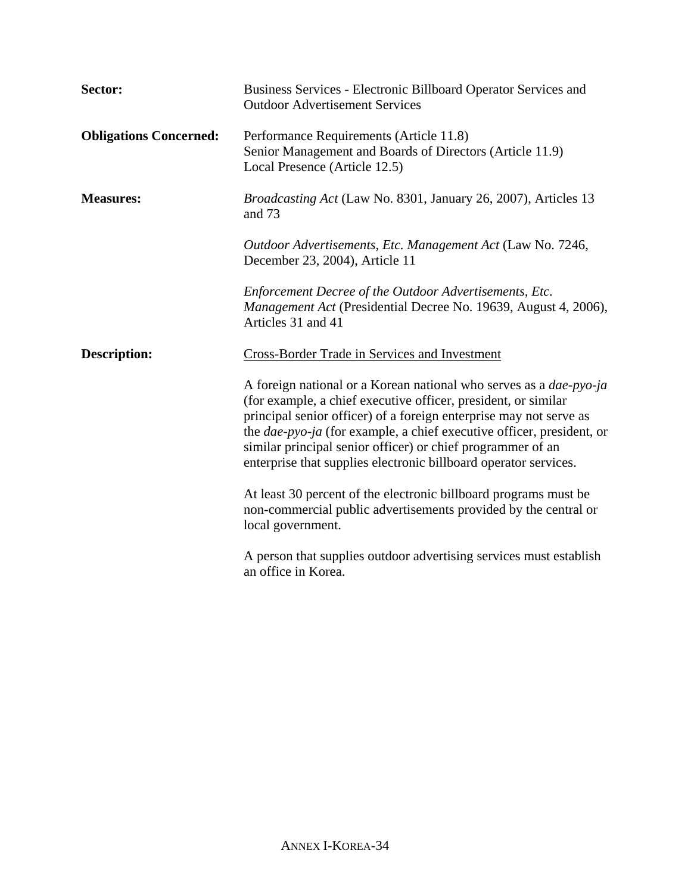| Sector:                       | Business Services - Electronic Billboard Operator Services and<br><b>Outdoor Advertisement Services</b>                                                                                                                                                                                                                                                                                                                       |
|-------------------------------|-------------------------------------------------------------------------------------------------------------------------------------------------------------------------------------------------------------------------------------------------------------------------------------------------------------------------------------------------------------------------------------------------------------------------------|
| <b>Obligations Concerned:</b> | Performance Requirements (Article 11.8)<br>Senior Management and Boards of Directors (Article 11.9)<br>Local Presence (Article 12.5)                                                                                                                                                                                                                                                                                          |
| <b>Measures:</b>              | Broadcasting Act (Law No. 8301, January 26, 2007), Articles 13<br>and 73                                                                                                                                                                                                                                                                                                                                                      |
|                               | Outdoor Advertisements, Etc. Management Act (Law No. 7246,<br>December 23, 2004), Article 11                                                                                                                                                                                                                                                                                                                                  |
|                               | Enforcement Decree of the Outdoor Advertisements, Etc.<br><i>Management Act</i> (Presidential Decree No. 19639, August 4, 2006),<br>Articles 31 and 41                                                                                                                                                                                                                                                                        |
| <b>Description:</b>           | Cross-Border Trade in Services and Investment                                                                                                                                                                                                                                                                                                                                                                                 |
|                               | A foreign national or a Korean national who serves as a dae-pyo-ja<br>(for example, a chief executive officer, president, or similar<br>principal senior officer) of a foreign enterprise may not serve as<br>the <i>dae-pyo-ja</i> (for example, a chief executive officer, president, or<br>similar principal senior officer) or chief programmer of an<br>enterprise that supplies electronic billboard operator services. |
|                               | At least 30 percent of the electronic billboard programs must be<br>non-commercial public advertisements provided by the central or<br>local government.                                                                                                                                                                                                                                                                      |
|                               | A person that supplies outdoor advertising services must establish<br>an office in Korea.                                                                                                                                                                                                                                                                                                                                     |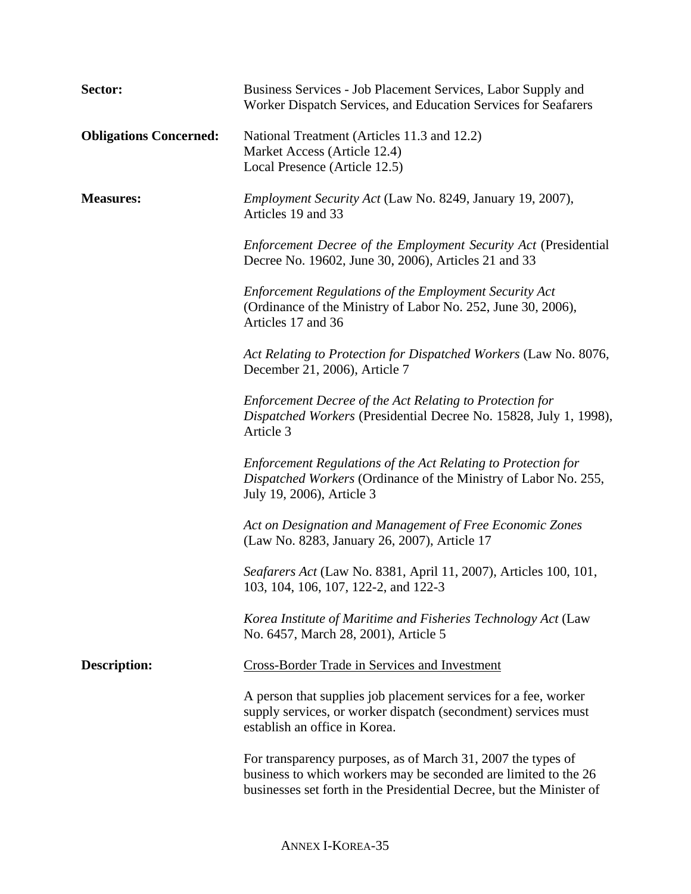| Sector:                       | Business Services - Job Placement Services, Labor Supply and<br>Worker Dispatch Services, and Education Services for Seafarers                                                                          |  |
|-------------------------------|---------------------------------------------------------------------------------------------------------------------------------------------------------------------------------------------------------|--|
| <b>Obligations Concerned:</b> | National Treatment (Articles 11.3 and 12.2)<br>Market Access (Article 12.4)<br>Local Presence (Article 12.5)                                                                                            |  |
| <b>Measures:</b>              | <i>Employment Security Act</i> (Law No. 8249, January 19, 2007),<br>Articles 19 and 33                                                                                                                  |  |
|                               | Enforcement Decree of the Employment Security Act (Presidential<br>Decree No. 19602, June 30, 2006), Articles 21 and 33                                                                                 |  |
|                               | <b>Enforcement Regulations of the Employment Security Act</b><br>(Ordinance of the Ministry of Labor No. 252, June 30, 2006),<br>Articles 17 and 36                                                     |  |
|                               | Act Relating to Protection for Dispatched Workers (Law No. 8076,<br>December 21, 2006), Article 7                                                                                                       |  |
|                               | Enforcement Decree of the Act Relating to Protection for<br>Dispatched Workers (Presidential Decree No. 15828, July 1, 1998),<br>Article 3                                                              |  |
|                               | Enforcement Regulations of the Act Relating to Protection for<br>Dispatched Workers (Ordinance of the Ministry of Labor No. 255,<br>July 19, 2006), Article 3                                           |  |
|                               | Act on Designation and Management of Free Economic Zones<br>(Law No. 8283, January 26, 2007), Article 17                                                                                                |  |
|                               | Seafarers Act (Law No. 8381, April 11, 2007), Articles 100, 101,<br>103, 104, 106, 107, 122-2, and 122-3                                                                                                |  |
|                               | Korea Institute of Maritime and Fisheries Technology Act (Law<br>No. 6457, March 28, 2001), Article 5                                                                                                   |  |
| <b>Description:</b>           | <b>Cross-Border Trade in Services and Investment</b>                                                                                                                                                    |  |
|                               | A person that supplies job placement services for a fee, worker<br>supply services, or worker dispatch (secondment) services must<br>establish an office in Korea.                                      |  |
|                               | For transparency purposes, as of March 31, 2007 the types of<br>business to which workers may be seconded are limited to the 26<br>businesses set forth in the Presidential Decree, but the Minister of |  |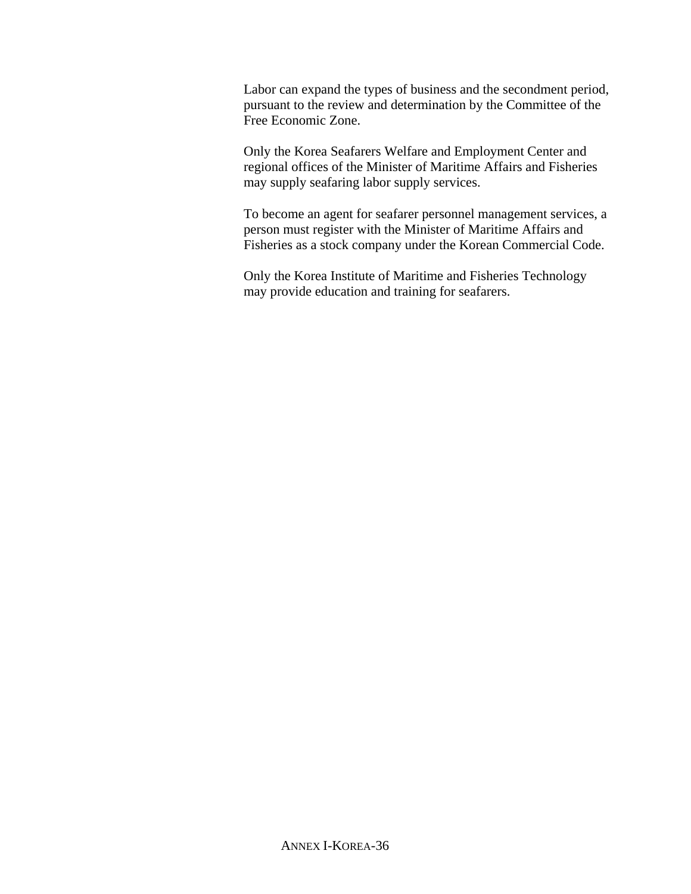Labor can expand the types of business and the secondment period, pursuant to the review and determination by the Committee of the Free Economic Zone.

Only the Korea Seafarers Welfare and Employment Center and regional offices of the Minister of Maritime Affairs and Fisheries may supply seafaring labor supply services.

To become an agent for seafarer personnel management services, a person must register with the Minister of Maritime Affairs and Fisheries as a stock company under the Korean Commercial Code.

Only the Korea Institute of Maritime and Fisheries Technology may provide education and training for seafarers.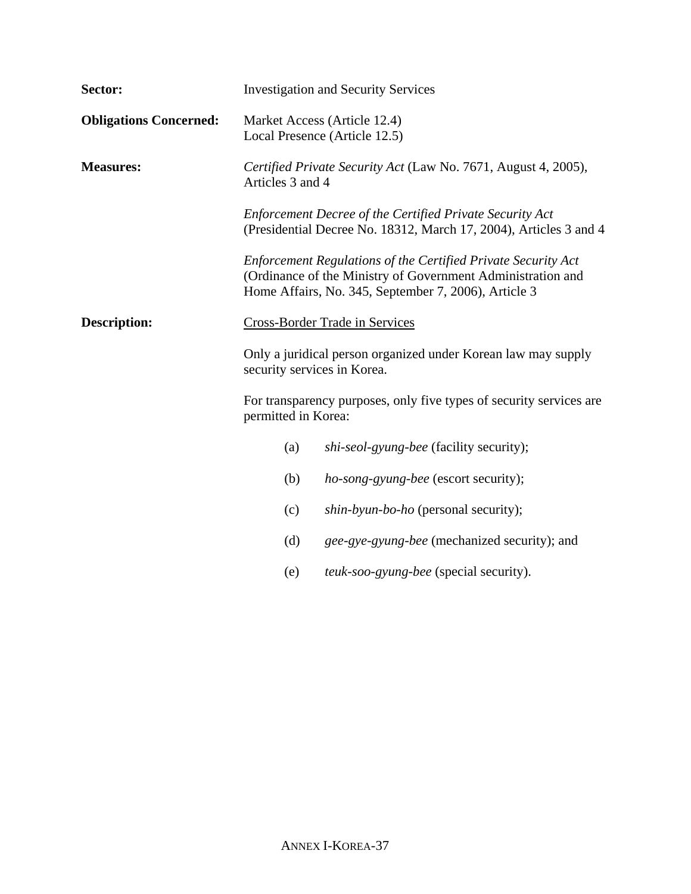| Sector:                       |                                                                                    | <b>Investigation and Security Services</b>                                                                                                                                           |
|-------------------------------|------------------------------------------------------------------------------------|--------------------------------------------------------------------------------------------------------------------------------------------------------------------------------------|
| <b>Obligations Concerned:</b> |                                                                                    | Market Access (Article 12.4)<br>Local Presence (Article 12.5)                                                                                                                        |
| <b>Measures:</b>              | Certified Private Security Act (Law No. 7671, August 4, 2005),<br>Articles 3 and 4 |                                                                                                                                                                                      |
|                               |                                                                                    | <b>Enforcement Decree of the Certified Private Security Act</b><br>(Presidential Decree No. 18312, March 17, 2004), Articles 3 and 4                                                 |
|                               |                                                                                    | Enforcement Regulations of the Certified Private Security Act<br>(Ordinance of the Ministry of Government Administration and<br>Home Affairs, No. 345, September 7, 2006), Article 3 |
| <b>Description:</b>           | <b>Cross-Border Trade in Services</b>                                              |                                                                                                                                                                                      |
|                               | security services in Korea.                                                        | Only a juridical person organized under Korean law may supply                                                                                                                        |
|                               | permitted in Korea:                                                                | For transparency purposes, only five types of security services are                                                                                                                  |
|                               | (a)                                                                                | shi-seol-gyung-bee (facility security);                                                                                                                                              |
|                               | (b)                                                                                | <i>ho-song-gyung-bee</i> (escort security);                                                                                                                                          |
|                               | (c)                                                                                | <i>shin-byun-bo-ho</i> (personal security);                                                                                                                                          |
|                               | (d)                                                                                | gee-gye-gyung-bee (mechanized security); and                                                                                                                                         |
|                               | (e)                                                                                | teuk-soo-gyung-bee (special security).                                                                                                                                               |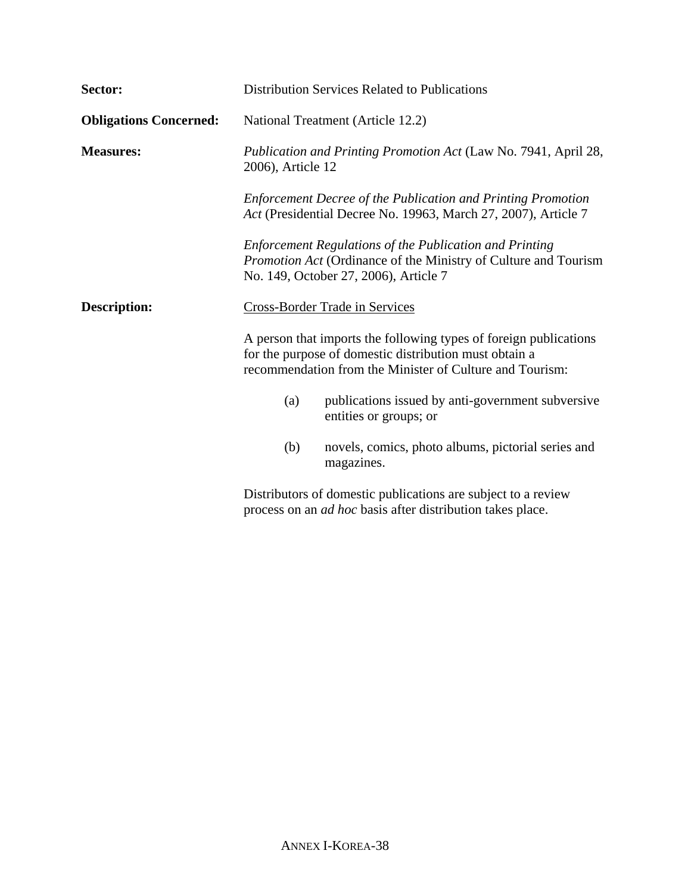| Sector:                       | <b>Distribution Services Related to Publications</b>                                                                                                                                    |
|-------------------------------|-----------------------------------------------------------------------------------------------------------------------------------------------------------------------------------------|
| <b>Obligations Concerned:</b> | National Treatment (Article 12.2)                                                                                                                                                       |
| <b>Measures:</b>              | Publication and Printing Promotion Act (Law No. 7941, April 28,<br>2006), Article 12                                                                                                    |
|                               | <b>Enforcement Decree of the Publication and Printing Promotion</b><br>Act (Presidential Decree No. 19963, March 27, 2007), Article 7                                                   |
|                               | <b>Enforcement Regulations of the Publication and Printing</b><br>Promotion Act (Ordinance of the Ministry of Culture and Tourism<br>No. 149, October 27, 2006), Article 7              |
| <b>Description:</b>           | <b>Cross-Border Trade in Services</b>                                                                                                                                                   |
|                               | A person that imports the following types of foreign publications<br>for the purpose of domestic distribution must obtain a<br>recommendation from the Minister of Culture and Tourism: |
|                               | publications issued by anti-government subversive<br>(a)<br>entities or groups; or                                                                                                      |
|                               | novels, comics, photo albums, pictorial series and<br>(b)<br>magazines.                                                                                                                 |
|                               | Distributors of domestic publications are subject to a review<br>process on an <i>ad hoc</i> basis after distribution takes place.                                                      |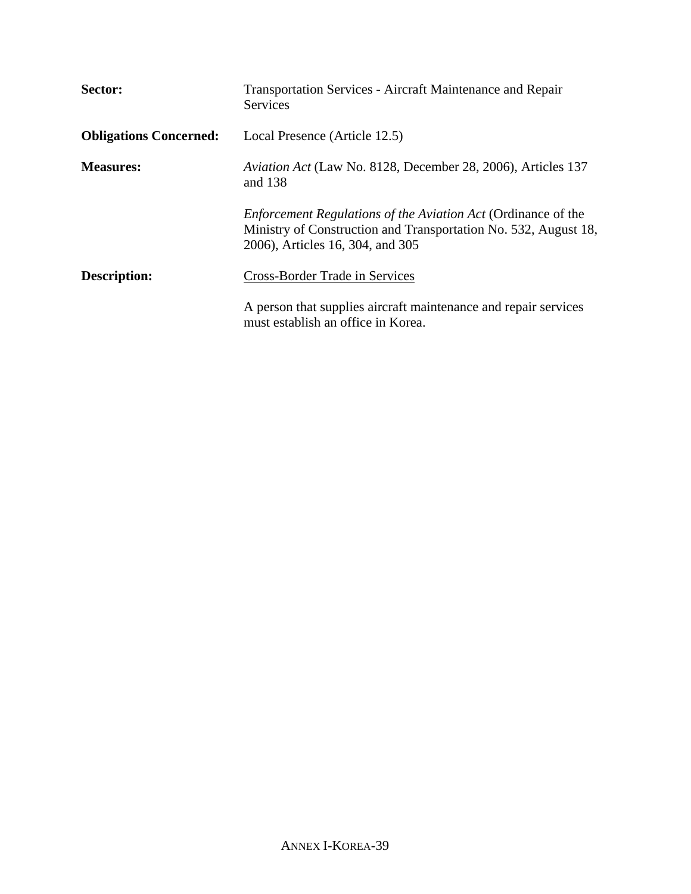| Sector:                       | <b>Transportation Services - Aircraft Maintenance and Repair</b><br><b>Services</b>                                                                                         |
|-------------------------------|-----------------------------------------------------------------------------------------------------------------------------------------------------------------------------|
| <b>Obligations Concerned:</b> | Local Presence (Article 12.5)                                                                                                                                               |
| <b>Measures:</b>              | <i>Aviation Act</i> (Law No. 8128, December 28, 2006), Articles 137<br>and 138                                                                                              |
|                               | <i>Enforcement Regulations of the Aviation Act (Ordinance of the</i><br>Ministry of Construction and Transportation No. 532, August 18,<br>2006), Articles 16, 304, and 305 |
| Description:                  | Cross-Border Trade in Services                                                                                                                                              |
|                               | A person that supplies aircraft maintenance and repair services<br>must establish an office in Korea.                                                                       |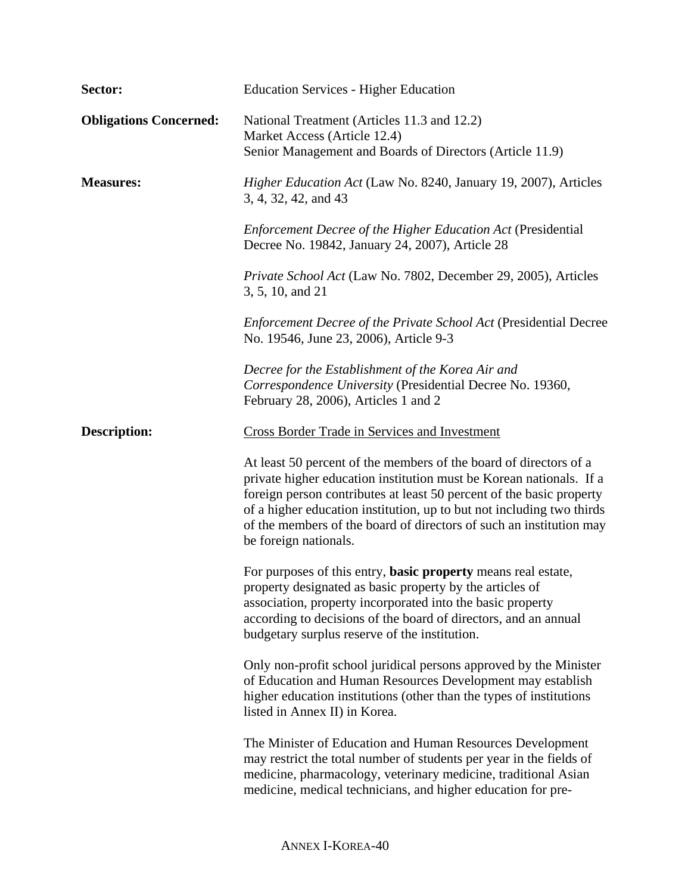| Sector:                       | <b>Education Services - Higher Education</b>                                                                                                                                                                                                                                                                                                                                              |
|-------------------------------|-------------------------------------------------------------------------------------------------------------------------------------------------------------------------------------------------------------------------------------------------------------------------------------------------------------------------------------------------------------------------------------------|
| <b>Obligations Concerned:</b> | National Treatment (Articles 11.3 and 12.2)<br>Market Access (Article 12.4)<br>Senior Management and Boards of Directors (Article 11.9)                                                                                                                                                                                                                                                   |
| <b>Measures:</b>              | Higher Education Act (Law No. 8240, January 19, 2007), Articles<br>3, 4, 32, 42, and 43                                                                                                                                                                                                                                                                                                   |
|                               | <b>Enforcement Decree of the Higher Education Act (Presidential</b><br>Decree No. 19842, January 24, 2007), Article 28                                                                                                                                                                                                                                                                    |
|                               | Private School Act (Law No. 7802, December 29, 2005), Articles<br>3, 5, 10, and 21                                                                                                                                                                                                                                                                                                        |
|                               | <b>Enforcement Decree of the Private School Act (Presidential Decree</b><br>No. 19546, June 23, 2006), Article 9-3                                                                                                                                                                                                                                                                        |
|                               | Decree for the Establishment of the Korea Air and<br>Correspondence University (Presidential Decree No. 19360,<br>February 28, 2006), Articles 1 and 2                                                                                                                                                                                                                                    |
| <b>Description:</b>           | Cross Border Trade in Services and Investment                                                                                                                                                                                                                                                                                                                                             |
|                               | At least 50 percent of the members of the board of directors of a<br>private higher education institution must be Korean nationals. If a<br>foreign person contributes at least 50 percent of the basic property<br>of a higher education institution, up to but not including two thirds<br>of the members of the board of directors of such an institution may<br>be foreign nationals. |
|                               | For purposes of this entry, <b>basic property</b> means real estate,<br>property designated as basic property by the articles of<br>association, property incorporated into the basic property<br>according to decisions of the board of directors, and an annual<br>budgetary surplus reserve of the institution.                                                                        |
|                               | Only non-profit school juridical persons approved by the Minister<br>of Education and Human Resources Development may establish<br>higher education institutions (other than the types of institutions<br>listed in Annex II) in Korea.                                                                                                                                                   |
|                               | The Minister of Education and Human Resources Development<br>may restrict the total number of students per year in the fields of<br>medicine, pharmacology, veterinary medicine, traditional Asian<br>medicine, medical technicians, and higher education for pre-                                                                                                                        |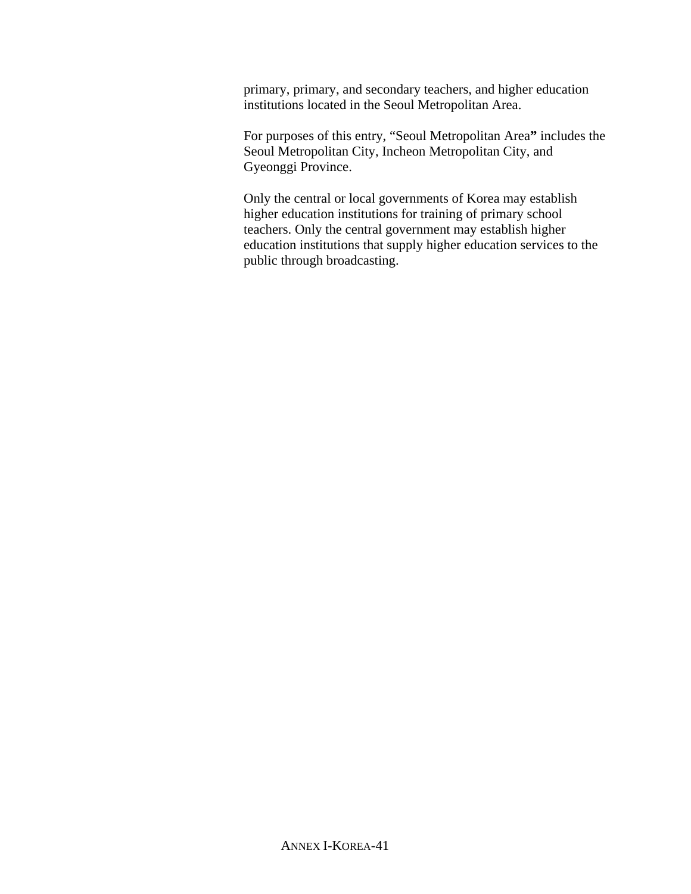primary, primary, and secondary teachers, and higher education institutions located in the Seoul Metropolitan Area.

For purposes of this entry, "Seoul Metropolitan Area**"** includes the Seoul Metropolitan City, Incheon Metropolitan City, and Gyeonggi Province.

Only the central or local governments of Korea may establish higher education institutions for training of primary school teachers. Only the central government may establish higher education institutions that supply higher education services to the public through broadcasting.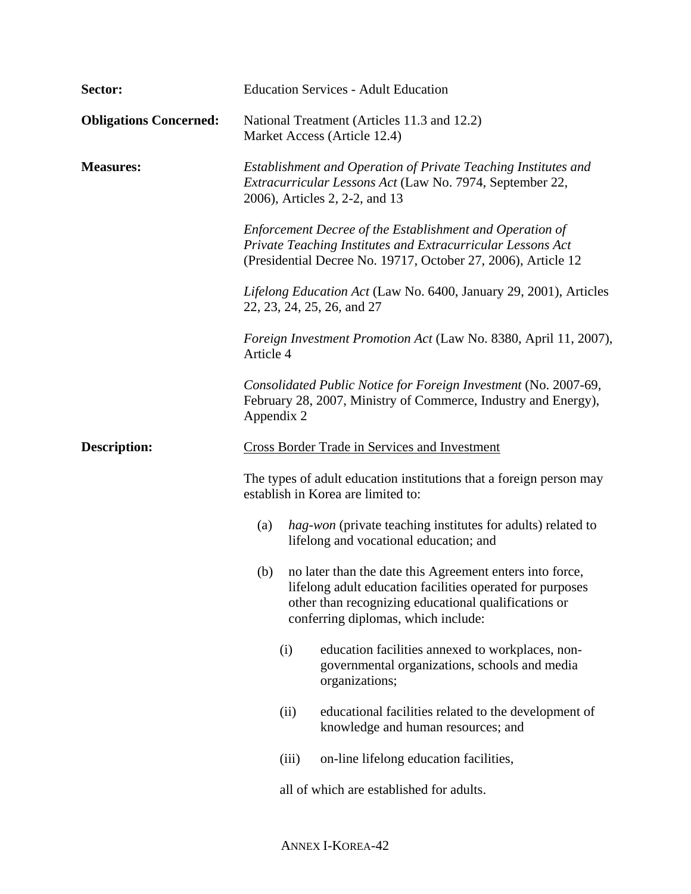| Sector:                       | <b>Education Services - Adult Education</b>                                                                                                                                                                                 |  |
|-------------------------------|-----------------------------------------------------------------------------------------------------------------------------------------------------------------------------------------------------------------------------|--|
| <b>Obligations Concerned:</b> | National Treatment (Articles 11.3 and 12.2)<br>Market Access (Article 12.4)                                                                                                                                                 |  |
| <b>Measures:</b>              | Establishment and Operation of Private Teaching Institutes and<br>Extracurricular Lessons Act (Law No. 7974, September 22,<br>2006), Articles 2, 2-2, and 13                                                                |  |
|                               | Enforcement Decree of the Establishment and Operation of<br>Private Teaching Institutes and Extracurricular Lessons Act<br>(Presidential Decree No. 19717, October 27, 2006), Article 12                                    |  |
|                               | Lifelong Education Act (Law No. 6400, January 29, 2001), Articles<br>22, 23, 24, 25, 26, and 27                                                                                                                             |  |
|                               | Foreign Investment Promotion Act (Law No. 8380, April 11, 2007),<br>Article 4                                                                                                                                               |  |
|                               | Consolidated Public Notice for Foreign Investment (No. 2007-69,<br>February 28, 2007, Ministry of Commerce, Industry and Energy),<br>Appendix 2                                                                             |  |
| <b>Description:</b>           | <b>Cross Border Trade in Services and Investment</b>                                                                                                                                                                        |  |
|                               | The types of adult education institutions that a foreign person may<br>establish in Korea are limited to:                                                                                                                   |  |
|                               | <i>hag-won</i> (private teaching institutes for adults) related to<br>(a)<br>lifelong and vocational education; and                                                                                                         |  |
|                               | no later than the date this Agreement enters into force,<br>(b)<br>lifelong adult education facilities operated for purposes<br>other than recognizing educational qualifications or<br>conferring diplomas, which include: |  |
|                               | (i)<br>education facilities annexed to workplaces, non-<br>governmental organizations, schools and media<br>organizations;                                                                                                  |  |
|                               | educational facilities related to the development of<br>(ii)<br>knowledge and human resources; and                                                                                                                          |  |
|                               | on-line lifelong education facilities,<br>(iii)                                                                                                                                                                             |  |
|                               | all of which are established for adults.                                                                                                                                                                                    |  |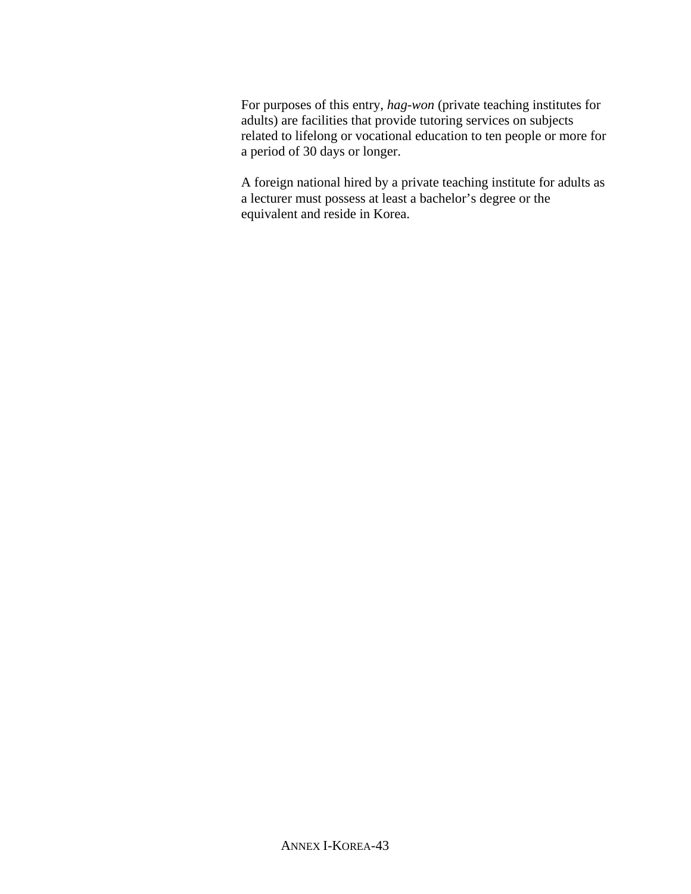For purposes of this entry, *hag-won* (private teaching institutes for adults) are facilities that provide tutoring services on subjects related to lifelong or vocational education to ten people or more for a period of 30 days or longer.

A foreign national hired by a private teaching institute for adults as a lecturer must possess at least a bachelor's degree or the equivalent and reside in Korea.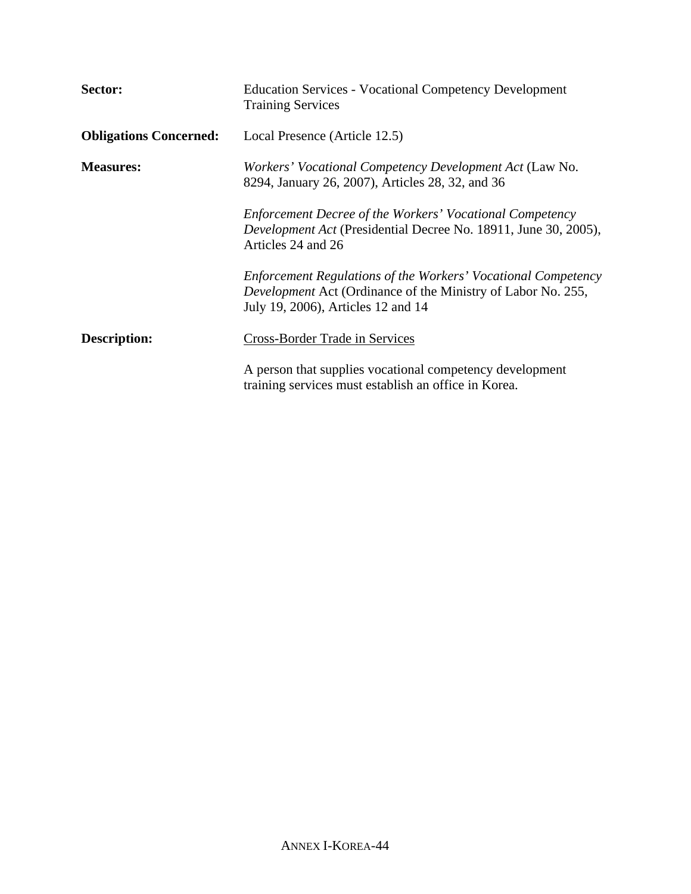| Sector:                       | <b>Education Services - Vocational Competency Development</b><br><b>Training Services</b>                                                                                  |
|-------------------------------|----------------------------------------------------------------------------------------------------------------------------------------------------------------------------|
| <b>Obligations Concerned:</b> | Local Presence (Article 12.5)                                                                                                                                              |
| <b>Measures:</b>              | Workers' Vocational Competency Development Act (Law No.<br>8294, January 26, 2007), Articles 28, 32, and 36                                                                |
|                               | Enforcement Decree of the Workers' Vocational Competency<br>Development Act (Presidential Decree No. 18911, June 30, 2005),<br>Articles 24 and 26                          |
|                               | Enforcement Regulations of the Workers' Vocational Competency<br><i>Development</i> Act (Ordinance of the Ministry of Labor No. 255,<br>July 19, 2006), Articles 12 and 14 |
| <b>Description:</b>           | Cross-Border Trade in Services                                                                                                                                             |
|                               | A person that supplies vocational competency development<br>training services must establish an office in Korea.                                                           |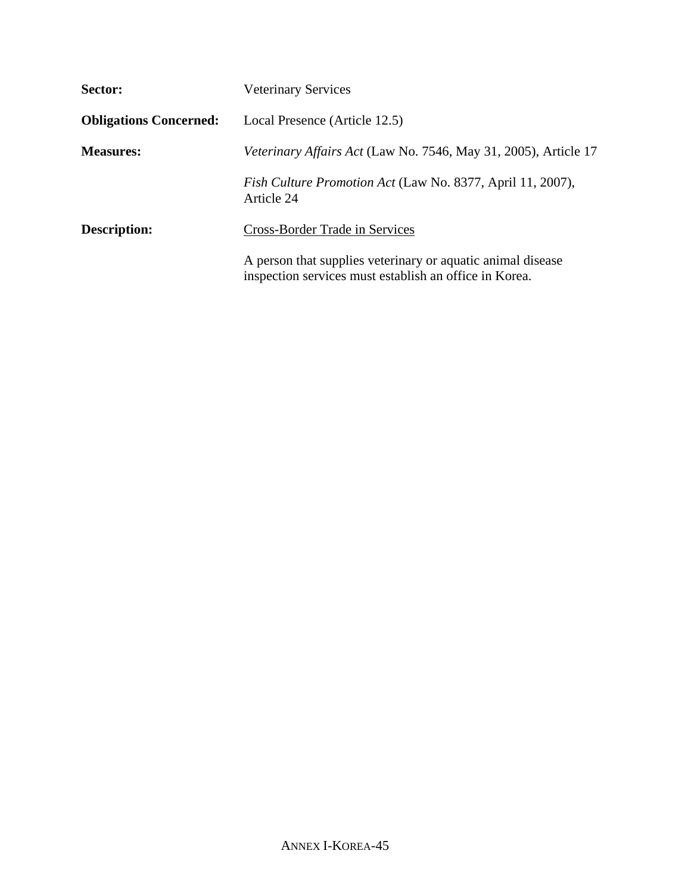| Sector:                       | <b>Veterinary Services</b>                                                                                            |
|-------------------------------|-----------------------------------------------------------------------------------------------------------------------|
| <b>Obligations Concerned:</b> | Local Presence (Article 12.5)                                                                                         |
| <b>Measures:</b>              | <i>Veterinary Affairs Act</i> (Law No. 7546, May 31, 2005), Article 17                                                |
|                               | Fish Culture Promotion Act (Law No. 8377, April 11, 2007),<br>Article 24                                              |
| <b>Description:</b>           | <b>Cross-Border Trade in Services</b>                                                                                 |
|                               | A person that supplies veterinary or aquatic animal disease<br>inspection services must establish an office in Korea. |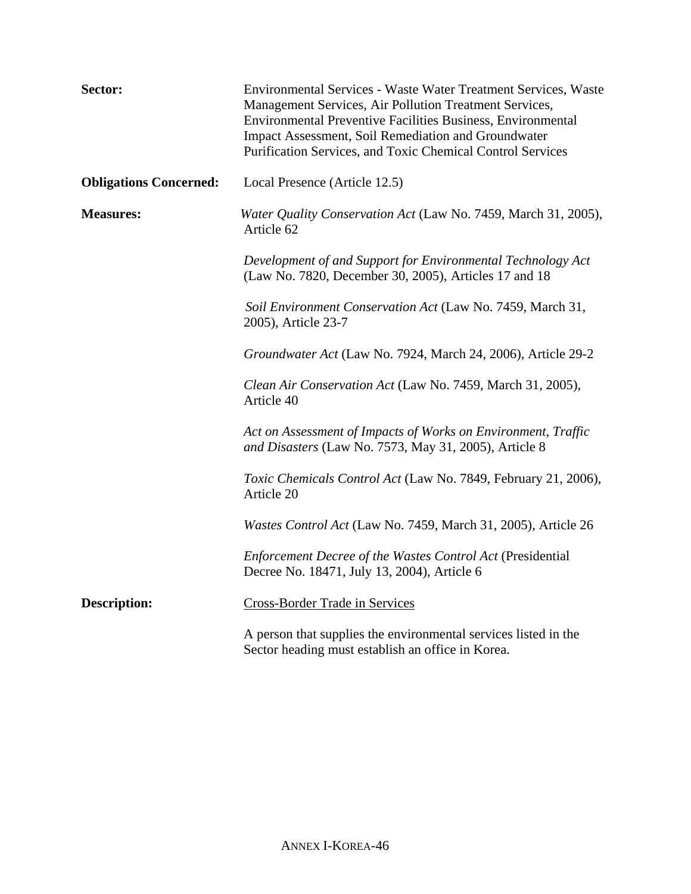| Sector:                       | Environmental Services - Waste Water Treatment Services, Waste<br>Management Services, Air Pollution Treatment Services,<br>Environmental Preventive Facilities Business, Environmental<br>Impact Assessment, Soil Remediation and Groundwater<br>Purification Services, and Toxic Chemical Control Services |
|-------------------------------|--------------------------------------------------------------------------------------------------------------------------------------------------------------------------------------------------------------------------------------------------------------------------------------------------------------|
| <b>Obligations Concerned:</b> | Local Presence (Article 12.5)                                                                                                                                                                                                                                                                                |
| <b>Measures:</b>              | Water Quality Conservation Act (Law No. 7459, March 31, 2005),<br>Article 62                                                                                                                                                                                                                                 |
|                               | Development of and Support for Environmental Technology Act<br>(Law No. 7820, December 30, 2005), Articles 17 and 18                                                                                                                                                                                         |
|                               | Soil Environment Conservation Act (Law No. 7459, March 31,<br>2005), Article 23-7                                                                                                                                                                                                                            |
|                               | Groundwater Act (Law No. 7924, March 24, 2006), Article 29-2                                                                                                                                                                                                                                                 |
|                               | Clean Air Conservation Act (Law No. 7459, March 31, 2005),<br>Article 40                                                                                                                                                                                                                                     |
|                               | Act on Assessment of Impacts of Works on Environment, Traffic<br>and Disasters (Law No. 7573, May 31, 2005), Article 8                                                                                                                                                                                       |
|                               | Toxic Chemicals Control Act (Law No. 7849, February 21, 2006),<br>Article 20                                                                                                                                                                                                                                 |
|                               | Wastes Control Act (Law No. 7459, March 31, 2005), Article 26                                                                                                                                                                                                                                                |
|                               | Enforcement Decree of the Wastes Control Act (Presidential<br>Decree No. 18471, July 13, 2004), Article 6                                                                                                                                                                                                    |
| <b>Description:</b>           | <b>Cross-Border Trade in Services</b>                                                                                                                                                                                                                                                                        |
|                               | A person that supplies the environmental services listed in the<br>Sector heading must establish an office in Korea.                                                                                                                                                                                         |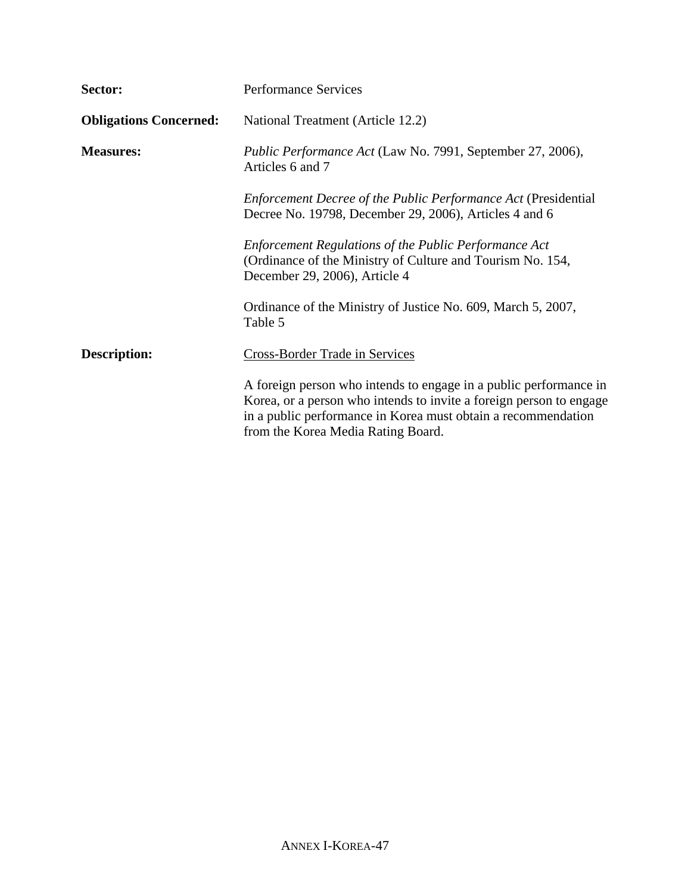| Sector:                       | <b>Performance Services</b>                                                                                                                                                                                                                     |
|-------------------------------|-------------------------------------------------------------------------------------------------------------------------------------------------------------------------------------------------------------------------------------------------|
| <b>Obligations Concerned:</b> | National Treatment (Article 12.2)                                                                                                                                                                                                               |
| <b>Measures:</b>              | Public Performance Act (Law No. 7991, September 27, 2006),<br>Articles 6 and 7                                                                                                                                                                  |
|                               | <i>Enforcement Decree of the Public Performance Act (Presidential)</i><br>Decree No. 19798, December 29, 2006), Articles 4 and 6                                                                                                                |
|                               | <b>Enforcement Regulations of the Public Performance Act</b><br>(Ordinance of the Ministry of Culture and Tourism No. 154,<br>December 29, 2006), Article 4                                                                                     |
|                               | Ordinance of the Ministry of Justice No. 609, March 5, 2007,<br>Table 5                                                                                                                                                                         |
| <b>Description:</b>           | <b>Cross-Border Trade in Services</b>                                                                                                                                                                                                           |
|                               | A foreign person who intends to engage in a public performance in<br>Korea, or a person who intends to invite a foreign person to engage<br>in a public performance in Korea must obtain a recommendation<br>from the Korea Media Rating Board. |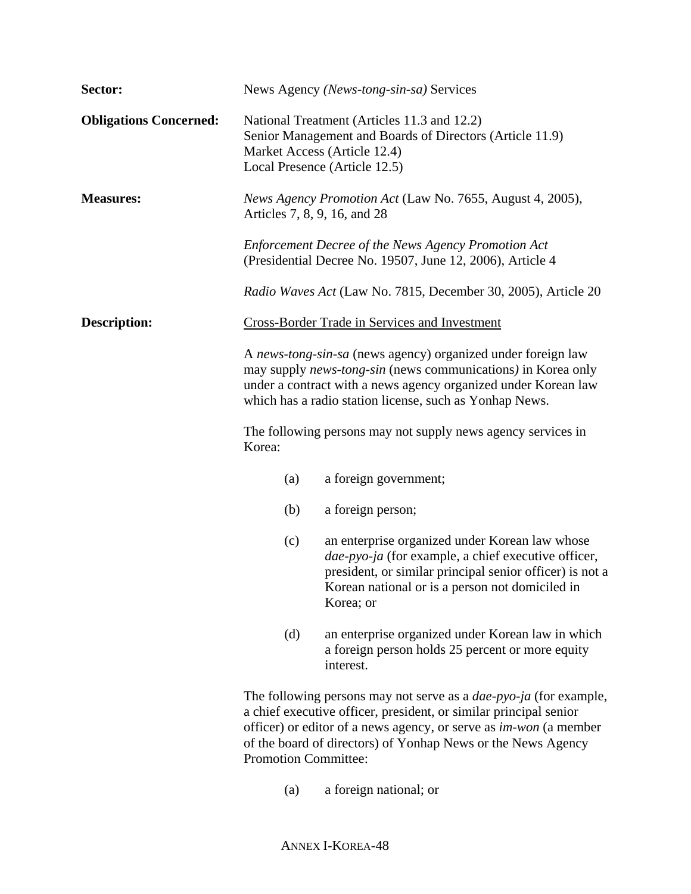| Sector:                       |                                                               | News Agency (News-tong-sin-sa) Services                                                                                                                                                                                                                                            |
|-------------------------------|---------------------------------------------------------------|------------------------------------------------------------------------------------------------------------------------------------------------------------------------------------------------------------------------------------------------------------------------------------|
| <b>Obligations Concerned:</b> | Market Access (Article 12.4)<br>Local Presence (Article 12.5) | National Treatment (Articles 11.3 and 12.2)<br>Senior Management and Boards of Directors (Article 11.9)                                                                                                                                                                            |
| <b>Measures:</b>              | Articles 7, 8, 9, 16, and 28                                  | News Agency Promotion Act (Law No. 7655, August 4, 2005),                                                                                                                                                                                                                          |
|                               |                                                               | <b>Enforcement Decree of the News Agency Promotion Act</b><br>(Presidential Decree No. 19507, June 12, 2006), Article 4                                                                                                                                                            |
|                               |                                                               | Radio Waves Act (Law No. 7815, December 30, 2005), Article 20                                                                                                                                                                                                                      |
| <b>Description:</b>           |                                                               | <b>Cross-Border Trade in Services and Investment</b>                                                                                                                                                                                                                               |
|                               |                                                               | A news-tong-sin-sa (news agency) organized under foreign law<br>may supply news-tong-sin (news communications) in Korea only<br>under a contract with a news agency organized under Korean law<br>which has a radio station license, such as Yonhap News.                          |
|                               | Korea:                                                        | The following persons may not supply news agency services in                                                                                                                                                                                                                       |
|                               | (a)                                                           | a foreign government;                                                                                                                                                                                                                                                              |
|                               | (b)                                                           | a foreign person;                                                                                                                                                                                                                                                                  |
|                               | (c)                                                           | an enterprise organized under Korean law whose<br>dae-pyo-ja (for example, a chief executive officer,<br>president, or similar principal senior officer) is not a<br>Korean national or is a person not domiciled in<br>Korea; or                                                  |
|                               | (d)                                                           | an enterprise organized under Korean law in which<br>a foreign person holds 25 percent or more equity<br>interest.                                                                                                                                                                 |
|                               | <b>Promotion Committee:</b>                                   | The following persons may not serve as a <i>dae-pyo-ja</i> (for example,<br>a chief executive officer, president, or similar principal senior<br>officer) or editor of a news agency, or serve as im-won (a member<br>of the board of directors) of Yonhap News or the News Agency |
|                               |                                                               |                                                                                                                                                                                                                                                                                    |

(a) a foreign national; or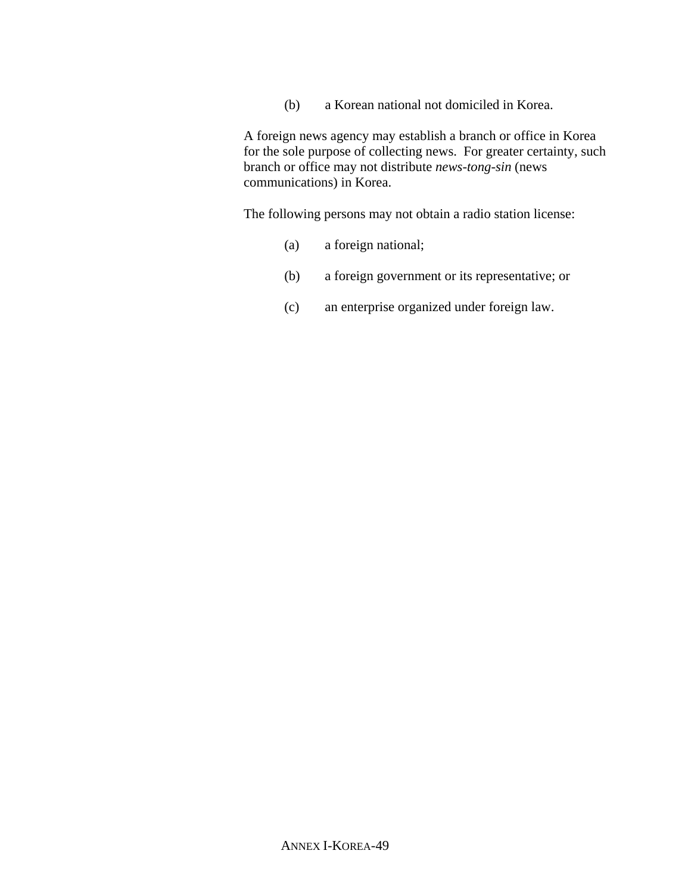(b) a Korean national not domiciled in Korea.

A foreign news agency may establish a branch or office in Korea for the sole purpose of collecting news. For greater certainty, such branch or office may not distribute *news-tong-sin* (news communications) in Korea.

The following persons may not obtain a radio station license:

- (a) a foreign national;
- (b) a foreign government or its representative; or
- (c) an enterprise organized under foreign law.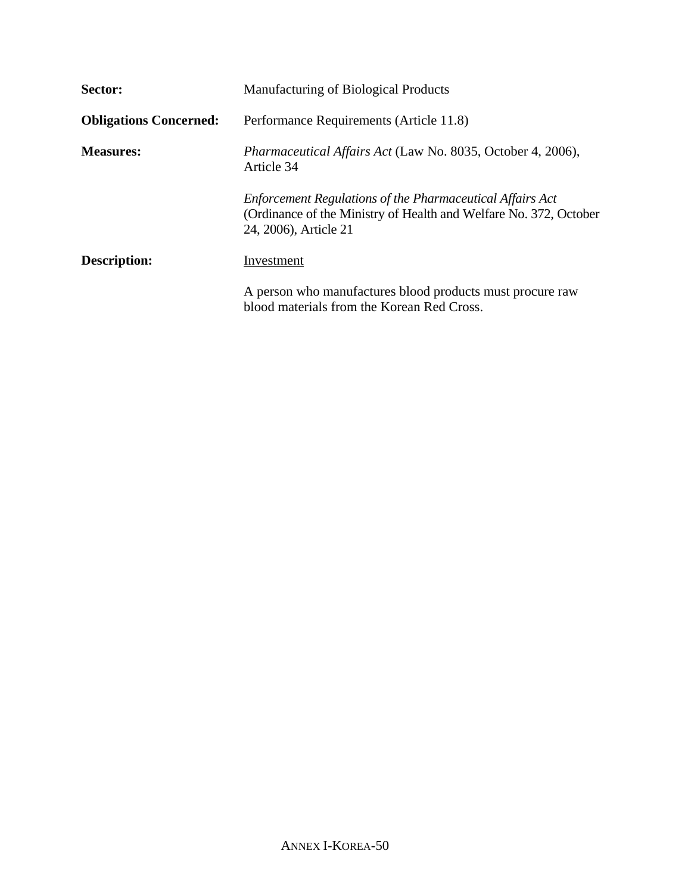| Sector:                       | Manufacturing of Biological Products                                                                                                                           |
|-------------------------------|----------------------------------------------------------------------------------------------------------------------------------------------------------------|
| <b>Obligations Concerned:</b> | Performance Requirements (Article 11.8)                                                                                                                        |
| <b>Measures:</b>              | <i>Pharmaceutical Affairs Act</i> (Law No. 8035, October 4, 2006),<br>Article 34                                                                               |
|                               | <b>Enforcement Regulations of the Pharmaceutical Affairs Act</b><br>(Ordinance of the Ministry of Health and Welfare No. 372, October<br>24, 2006), Article 21 |
| Description:                  | Investment                                                                                                                                                     |
|                               | A person who manufactures blood products must procure raw<br>blood materials from the Korean Red Cross.                                                        |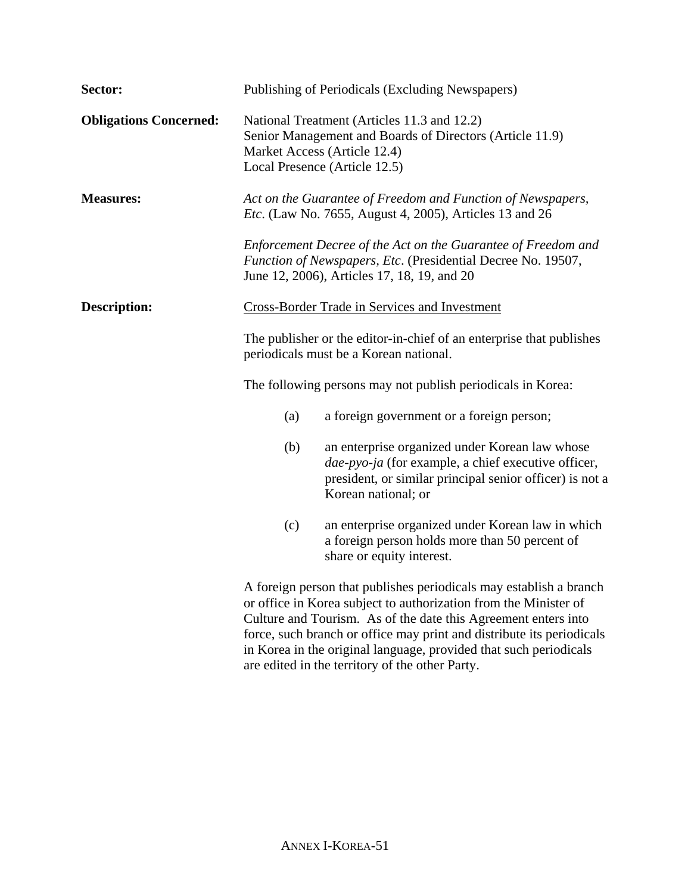| Sector:                       | Publishing of Periodicals (Excluding Newspapers)                                                                                                                                                                                                                                                                                                       |  |
|-------------------------------|--------------------------------------------------------------------------------------------------------------------------------------------------------------------------------------------------------------------------------------------------------------------------------------------------------------------------------------------------------|--|
| <b>Obligations Concerned:</b> | National Treatment (Articles 11.3 and 12.2)<br>Senior Management and Boards of Directors (Article 11.9)<br>Market Access (Article 12.4)<br>Local Presence (Article 12.5)                                                                                                                                                                               |  |
| <b>Measures:</b>              | Act on the Guarantee of Freedom and Function of Newspapers,<br><i>Etc.</i> (Law No. 7655, August 4, 2005), Articles 13 and 26                                                                                                                                                                                                                          |  |
|                               | Enforcement Decree of the Act on the Guarantee of Freedom and<br>Function of Newspapers, Etc. (Presidential Decree No. 19507,<br>June 12, 2006), Articles 17, 18, 19, and 20                                                                                                                                                                           |  |
| <b>Description:</b>           | <b>Cross-Border Trade in Services and Investment</b>                                                                                                                                                                                                                                                                                                   |  |
|                               | The publisher or the editor-in-chief of an enterprise that publishes<br>periodicals must be a Korean national.                                                                                                                                                                                                                                         |  |
|                               | The following persons may not publish periodicals in Korea:                                                                                                                                                                                                                                                                                            |  |
|                               | (a)<br>a foreign government or a foreign person;                                                                                                                                                                                                                                                                                                       |  |
|                               | (b)<br>an enterprise organized under Korean law whose<br>dae-pyo-ja (for example, a chief executive officer,<br>president, or similar principal senior officer) is not a<br>Korean national; or                                                                                                                                                        |  |
|                               | (c)<br>an enterprise organized under Korean law in which<br>a foreign person holds more than 50 percent of<br>share or equity interest.                                                                                                                                                                                                                |  |
|                               | A foreign person that publishes periodicals may establish a branch<br>or office in Korea subject to authorization from the Minister of<br>Culture and Tourism. As of the date this Agreement enters into<br>force, such branch or office may print and distribute its periodicals<br>in Korea in the original language, provided that such periodicals |  |

are edited in the territory of the other Party.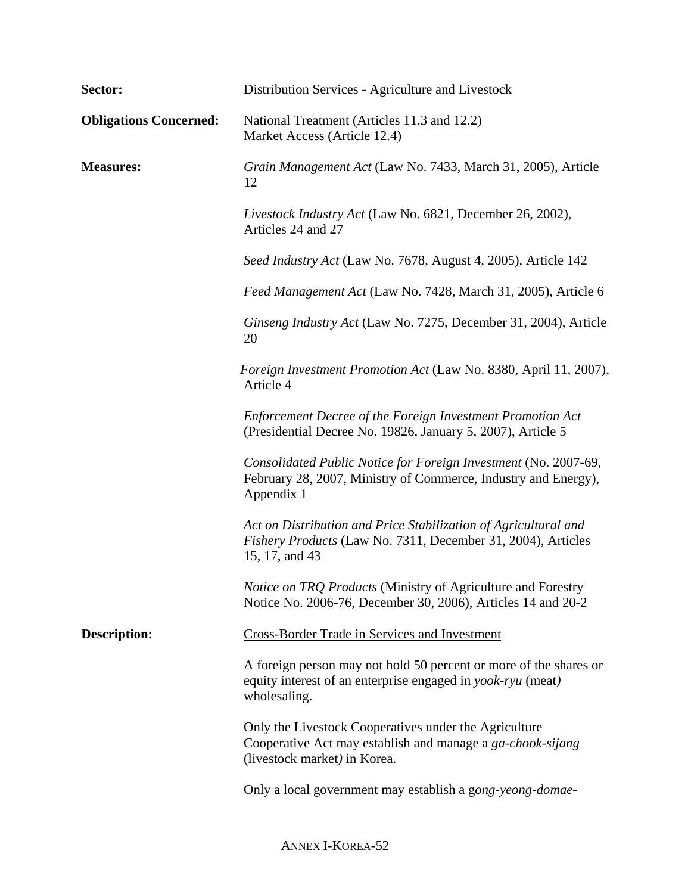| Sector:                       | Distribution Services - Agriculture and Livestock                                                                                                   |
|-------------------------------|-----------------------------------------------------------------------------------------------------------------------------------------------------|
| <b>Obligations Concerned:</b> | National Treatment (Articles 11.3 and 12.2)<br>Market Access (Article 12.4)                                                                         |
| <b>Measures:</b>              | Grain Management Act (Law No. 7433, March 31, 2005), Article<br>12                                                                                  |
|                               | Livestock Industry Act (Law No. 6821, December 26, 2002),<br>Articles 24 and 27                                                                     |
|                               | Seed Industry Act (Law No. 7678, August 4, 2005), Article 142                                                                                       |
|                               | Feed Management Act (Law No. 7428, March 31, 2005), Article 6                                                                                       |
|                               | Ginseng Industry Act (Law No. 7275, December 31, 2004), Article<br>20                                                                               |
|                               | Foreign Investment Promotion Act (Law No. 8380, April 11, 2007),<br>Article 4                                                                       |
|                               | Enforcement Decree of the Foreign Investment Promotion Act<br>(Presidential Decree No. 19826, January 5, 2007), Article 5                           |
|                               | Consolidated Public Notice for Foreign Investment (No. 2007-69,<br>February 28, 2007, Ministry of Commerce, Industry and Energy),<br>Appendix 1     |
|                               | Act on Distribution and Price Stabilization of Agricultural and<br>Fishery Products (Law No. 7311, December 31, 2004), Articles<br>15, 17, and 43   |
|                               | Notice on TRQ Products (Ministry of Agriculture and Forestry<br>Notice No. 2006-76, December 30, 2006), Articles 14 and 20-2                        |
| <b>Description:</b>           | <b>Cross-Border Trade in Services and Investment</b>                                                                                                |
|                               | A foreign person may not hold 50 percent or more of the shares or<br>equity interest of an enterprise engaged in yook-ryu (meat)<br>wholesaling.    |
|                               | Only the Livestock Cooperatives under the Agriculture<br>Cooperative Act may establish and manage a ga-chook-sijang<br>(livestock market) in Korea. |
|                               | Only a local government may establish a gong-yeong-domae-                                                                                           |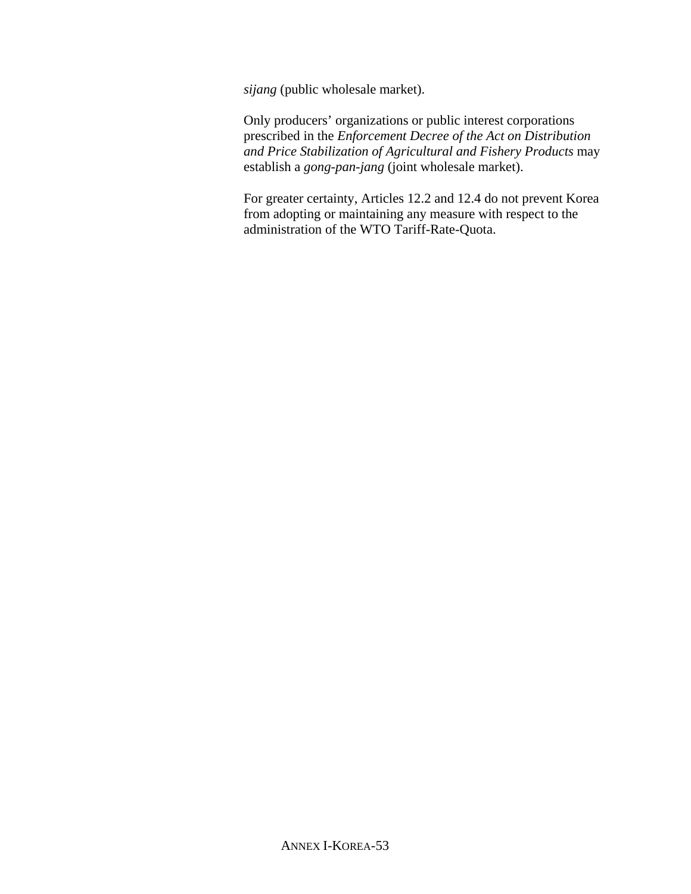*sijang* (public wholesale market).

Only producers' organizations or public interest corporations prescribed in the *Enforcement Decree of the Act on Distribution and Price Stabilization of Agricultural and Fishery Products* may establish a *gong-pan-jang* (joint wholesale market).

For greater certainty, Articles 12.2 and 12.4 do not prevent Korea from adopting or maintaining any measure with respect to the administration of the WTO Tariff-Rate-Quota.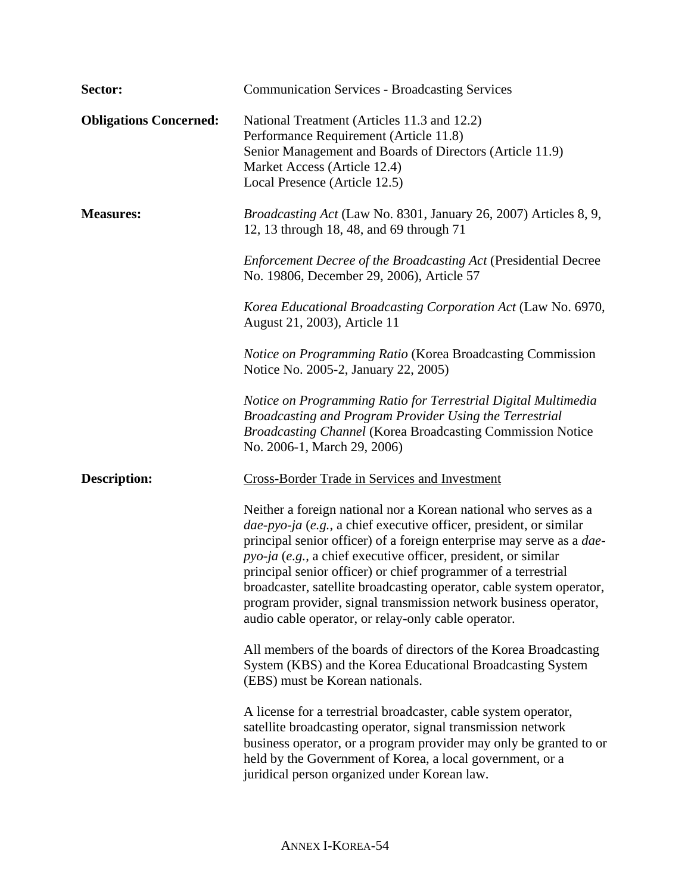| Sector:                       | <b>Communication Services - Broadcasting Services</b>                                                                                                                                                                                                                                                                                                                                                                                                                                                                                                          |
|-------------------------------|----------------------------------------------------------------------------------------------------------------------------------------------------------------------------------------------------------------------------------------------------------------------------------------------------------------------------------------------------------------------------------------------------------------------------------------------------------------------------------------------------------------------------------------------------------------|
| <b>Obligations Concerned:</b> | National Treatment (Articles 11.3 and 12.2)<br>Performance Requirement (Article 11.8)<br>Senior Management and Boards of Directors (Article 11.9)<br>Market Access (Article 12.4)<br>Local Presence (Article 12.5)                                                                                                                                                                                                                                                                                                                                             |
| <b>Measures:</b>              | <i>Broadcasting Act</i> (Law No. 8301, January 26, 2007) Articles 8, 9,<br>12, 13 through 18, 48, and 69 through 71                                                                                                                                                                                                                                                                                                                                                                                                                                            |
|                               | <b>Enforcement Decree of the Broadcasting Act (Presidential Decree</b><br>No. 19806, December 29, 2006), Article 57                                                                                                                                                                                                                                                                                                                                                                                                                                            |
|                               | Korea Educational Broadcasting Corporation Act (Law No. 6970,<br>August 21, 2003), Article 11                                                                                                                                                                                                                                                                                                                                                                                                                                                                  |
|                               | <i>Notice on Programming Ratio</i> (Korea Broadcasting Commission<br>Notice No. 2005-2, January 22, 2005)                                                                                                                                                                                                                                                                                                                                                                                                                                                      |
|                               | Notice on Programming Ratio for Terrestrial Digital Multimedia<br>Broadcasting and Program Provider Using the Terrestrial<br><b>Broadcasting Channel (Korea Broadcasting Commission Notice</b><br>No. 2006-1, March 29, 2006)                                                                                                                                                                                                                                                                                                                                  |
| <b>Description:</b>           | <b>Cross-Border Trade in Services and Investment</b>                                                                                                                                                                                                                                                                                                                                                                                                                                                                                                           |
|                               | Neither a foreign national nor a Korean national who serves as a<br>dae-pyo-ja (e.g., a chief executive officer, president, or similar<br>principal senior officer) of a foreign enterprise may serve as a <i>dae</i> -<br>pyo-ja (e.g., a chief executive officer, president, or similar<br>principal senior officer) or chief programmer of a terrestrial<br>broadcaster, satellite broadcasting operator, cable system operator,<br>program provider, signal transmission network business operator,<br>audio cable operator, or relay-only cable operator. |
|                               | All members of the boards of directors of the Korea Broadcasting<br>System (KBS) and the Korea Educational Broadcasting System<br>(EBS) must be Korean nationals.                                                                                                                                                                                                                                                                                                                                                                                              |
|                               | A license for a terrestrial broadcaster, cable system operator,<br>satellite broadcasting operator, signal transmission network<br>business operator, or a program provider may only be granted to or<br>held by the Government of Korea, a local government, or a<br>juridical person organized under Korean law.                                                                                                                                                                                                                                             |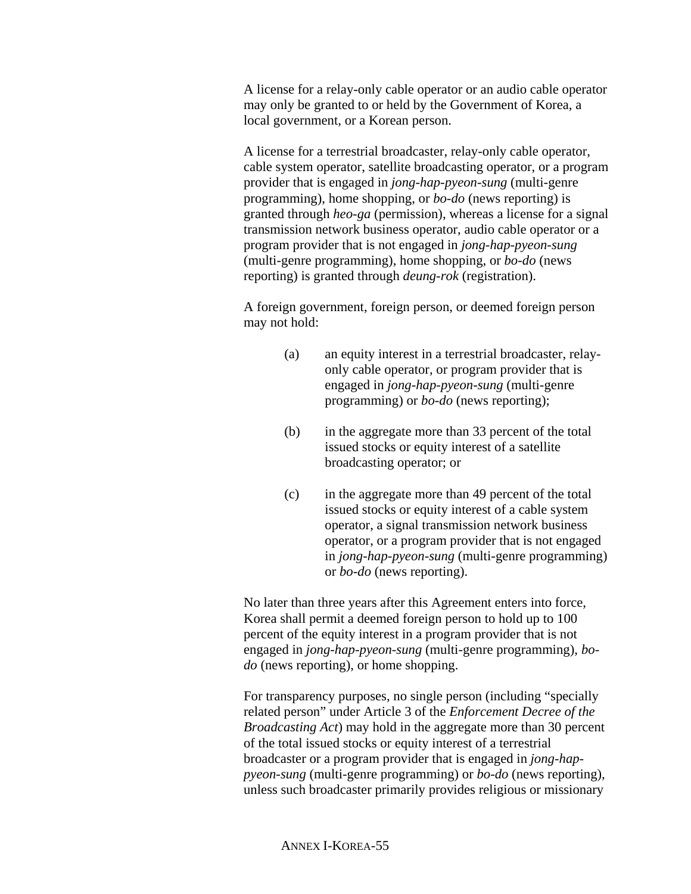A license for a relay-only cable operator or an audio cable operator may only be granted to or held by the Government of Korea, a local government, or a Korean person.

A license for a terrestrial broadcaster, relay-only cable operator, cable system operator, satellite broadcasting operator, or a program provider that is engaged in *jong-hap-pyeon-sung* (multi-genre programming), home shopping, or *bo-do* (news reporting) is granted through *heo-ga* (permission), whereas a license for a signal transmission network business operator, audio cable operator or a program provider that is not engaged in *jong-hap-pyeon-sung* (multi-genre programming), home shopping, or *bo-do* (news reporting) is granted through *deung-rok* (registration).

A foreign government, foreign person, or deemed foreign person may not hold:

- (a) an equity interest in a terrestrial broadcaster, relayonly cable operator, or program provider that is engaged in *jong-hap-pyeon-sung* (multi-genre programming) or *bo-do* (news reporting);
- (b) in the aggregate more than 33 percent of the total issued stocks or equity interest of a satellite broadcasting operator; or
- (c) in the aggregate more than 49 percent of the total issued stocks or equity interest of a cable system operator, a signal transmission network business operator, or a program provider that is not engaged in *jong-hap-pyeon-sung* (multi-genre programming) or *bo-do* (news reporting).

No later than three years after this Agreement enters into force, Korea shall permit a deemed foreign person to hold up to 100 percent of the equity interest in a program provider that is not engaged in *jong-hap-pyeon-sung* (multi-genre programming), *bodo* (news reporting), or home shopping.

For transparency purposes, no single person (including "specially related person" under Article 3 of the *Enforcement Decree of the Broadcasting Act*) may hold in the aggregate more than 30 percent of the total issued stocks or equity interest of a terrestrial broadcaster or a program provider that is engaged in *jong-happyeon-sung* (multi-genre programming) or *bo-do* (news reporting), unless such broadcaster primarily provides religious or missionary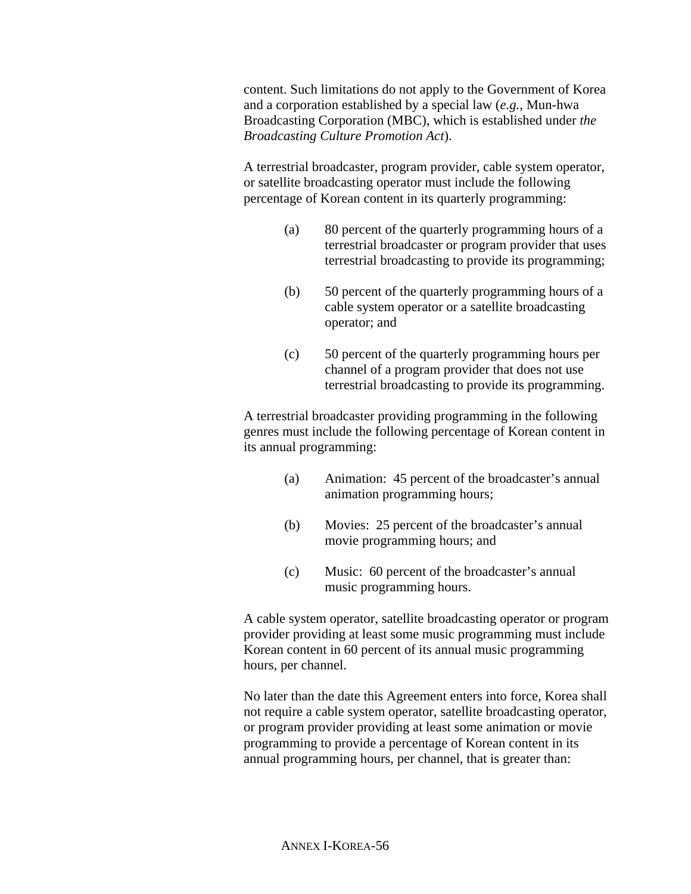content. Such limitations do not apply to the Government of Korea and a corporation established by a special law (*e.g.*, Mun-hwa Broadcasting Corporation (MBC), which is established under *the Broadcasting Culture Promotion Act*).

A terrestrial broadcaster, program provider, cable system operator, or satellite broadcasting operator must include the following percentage of Korean content in its quarterly programming:

- (a) 80 percent of the quarterly programming hours of a terrestrial broadcaster or program provider that uses terrestrial broadcasting to provide its programming;
- (b) 50 percent of the quarterly programming hours of a cable system operator or a satellite broadcasting operator; and
- (c) 50 percent of the quarterly programming hours per channel of a program provider that does not use terrestrial broadcasting to provide its programming.

A terrestrial broadcaster providing programming in the following genres must include the following percentage of Korean content in its annual programming:

- (a) Animation: 45 percent of the broadcaster's annual animation programming hours;
- (b) Movies: 25 percent of the broadcaster's annual movie programming hours; and
- (c) Music: 60 percent of the broadcaster's annual music programming hours.

A cable system operator, satellite broadcasting operator or program provider providing at least some music programming must include Korean content in 60 percent of its annual music programming hours, per channel.

No later than the date this Agreement enters into force, Korea shall not require a cable system operator, satellite broadcasting operator, or program provider providing at least some animation or movie programming to provide a percentage of Korean content in its annual programming hours, per channel, that is greater than: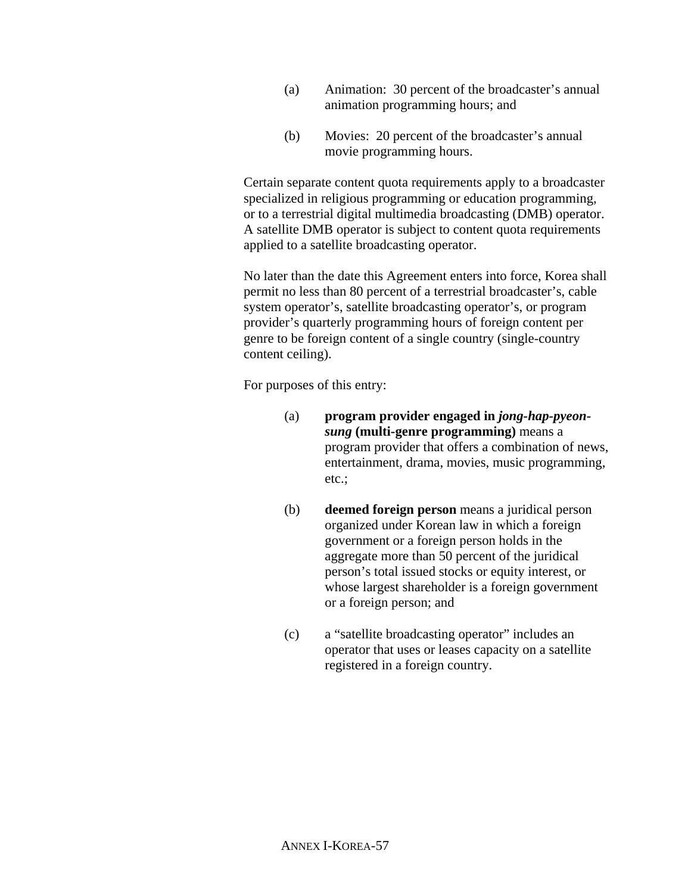- (a) Animation: 30 percent of the broadcaster's annual animation programming hours; and
- (b) Movies: 20 percent of the broadcaster's annual movie programming hours.

Certain separate content quota requirements apply to a broadcaster specialized in religious programming or education programming, or to a terrestrial digital multimedia broadcasting (DMB) operator. A satellite DMB operator is subject to content quota requirements applied to a satellite broadcasting operator.

No later than the date this Agreement enters into force, Korea shall permit no less than 80 percent of a terrestrial broadcaster's, cable system operator's, satellite broadcasting operator's, or program provider's quarterly programming hours of foreign content per genre to be foreign content of a single country (single-country content ceiling).

For purposes of this entry:

- (a) **program provider engaged in** *jong-hap-pyeonsung* **(multi-genre programming)** means a program provider that offers a combination of news, entertainment, drama, movies, music programming, etc.;
- (b) **deemed foreign person** means a juridical person organized under Korean law in which a foreign government or a foreign person holds in the aggregate more than 50 percent of the juridical person's total issued stocks or equity interest, or whose largest shareholder is a foreign government or a foreign person; and
- (c) a "satellite broadcasting operator" includes an operator that uses or leases capacity on a satellite registered in a foreign country.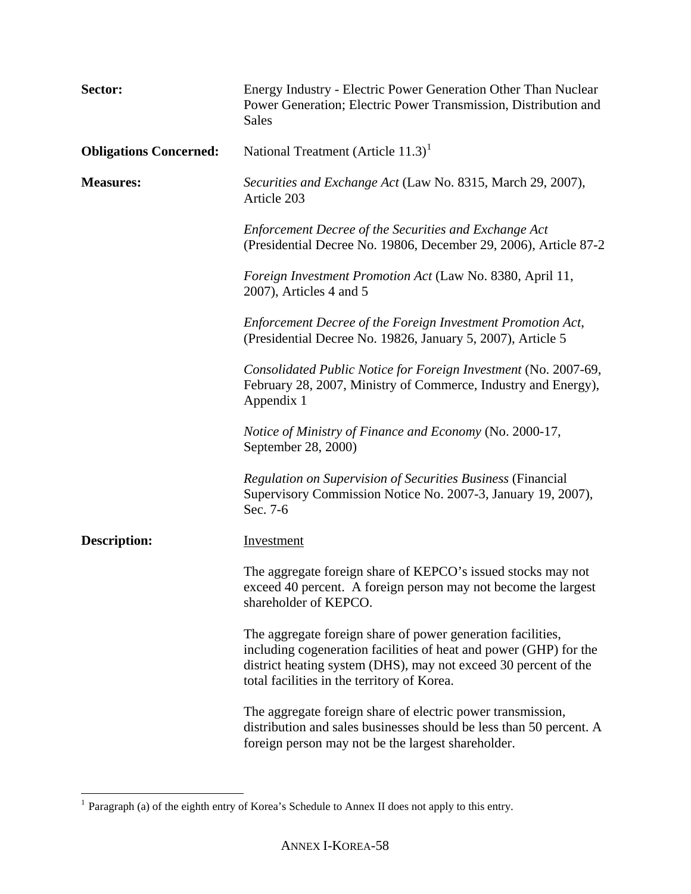| Sector:                       | Energy Industry - Electric Power Generation Other Than Nuclear<br>Power Generation; Electric Power Transmission, Distribution and<br>Sales                                                                                                         |
|-------------------------------|----------------------------------------------------------------------------------------------------------------------------------------------------------------------------------------------------------------------------------------------------|
| <b>Obligations Concerned:</b> | National Treatment (Article $11.3$ ) <sup>1</sup>                                                                                                                                                                                                  |
| <b>Measures:</b>              | Securities and Exchange Act (Law No. 8315, March 29, 2007),<br>Article 203                                                                                                                                                                         |
|                               | Enforcement Decree of the Securities and Exchange Act<br>(Presidential Decree No. 19806, December 29, 2006), Article 87-2                                                                                                                          |
|                               | <i>Foreign Investment Promotion Act</i> (Law No. 8380, April 11,<br>$2007$ ), Articles 4 and 5                                                                                                                                                     |
|                               | Enforcement Decree of the Foreign Investment Promotion Act,<br>(Presidential Decree No. 19826, January 5, 2007), Article 5                                                                                                                         |
|                               | Consolidated Public Notice for Foreign Investment (No. 2007-69,<br>February 28, 2007, Ministry of Commerce, Industry and Energy),<br>Appendix 1                                                                                                    |
|                               | Notice of Ministry of Finance and Economy (No. 2000-17,<br>September 28, 2000)                                                                                                                                                                     |
|                               | Regulation on Supervision of Securities Business (Financial<br>Supervisory Commission Notice No. 2007-3, January 19, 2007),<br>Sec. 7-6                                                                                                            |
| <b>Description:</b>           | <b>Investment</b>                                                                                                                                                                                                                                  |
|                               | The aggregate foreign share of KEPCO's issued stocks may not<br>exceed 40 percent. A foreign person may not become the largest<br>shareholder of KEPCO.                                                                                            |
|                               | The aggregate foreign share of power generation facilities,<br>including cogeneration facilities of heat and power (GHP) for the<br>district heating system (DHS), may not exceed 30 percent of the<br>total facilities in the territory of Korea. |
|                               | The aggregate foreign share of electric power transmission,<br>distribution and sales businesses should be less than 50 percent. A<br>foreign person may not be the largest shareholder.                                                           |

 $\mathbb{R}^n$ 

 $\overline{a}$ 

<span id="page-57-0"></span><sup>&</sup>lt;sup>1</sup> Paragraph (a) of the eighth entry of Korea's Schedule to Annex II does not apply to this entry.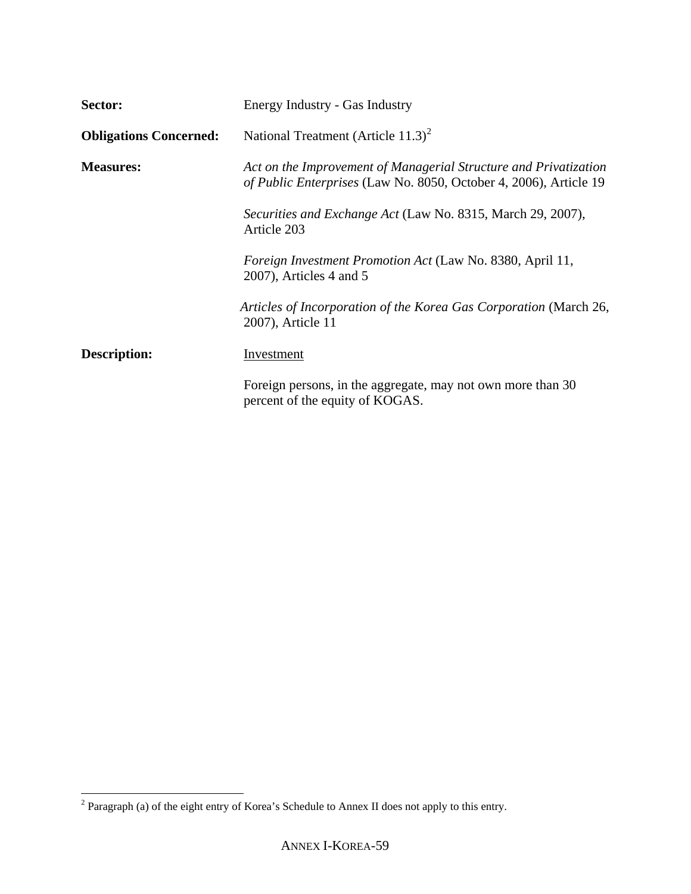| Sector:                       | Energy Industry - Gas Industry                                                                                                               |
|-------------------------------|----------------------------------------------------------------------------------------------------------------------------------------------|
| <b>Obligations Concerned:</b> | National Treatment (Article $11.3$ ) <sup>2</sup>                                                                                            |
| <b>Measures:</b>              | Act on the Improvement of Managerial Structure and Privatization<br><i>of Public Enterprises</i> (Law No. 8050, October 4, 2006), Article 19 |
|                               | Securities and Exchange Act (Law No. 8315, March 29, 2007),<br>Article 203                                                                   |
|                               | <i>Foreign Investment Promotion Act</i> (Law No. 8380, April 11,<br>$2007$ , Articles 4 and 5                                                |
|                               | Articles of Incorporation of the Korea Gas Corporation (March 26,<br>2007), Article 11                                                       |
| <b>Description:</b>           | Investment                                                                                                                                   |
|                               | Foreign persons, in the aggregate, may not own more than 30<br>percent of the equity of KOGAS.                                               |

<span id="page-58-0"></span><sup>&</sup>lt;sup>2</sup> Paragraph (a) of the eight entry of Korea's Schedule to Annex II does not apply to this entry.